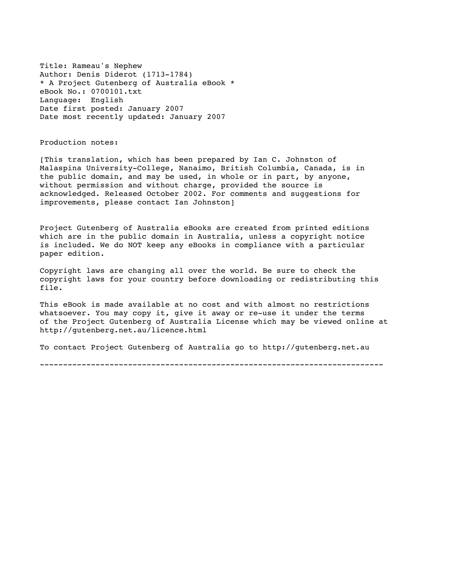Title: Rameau's Nephew Author: Denis Diderot (1713-1784) \* A Project Gutenberg of Australia eBook \* eBook No.: 0700101.txt Language: English Date first posted: January 2007 Date most recently updated: January 2007

Production notes:

[This translation, which has been prepared by Ian C. Johnston of Malaspina University-College, Nanaimo, British Columbia, Canada, is in the public domain, and may be used, in whole or in part, by anyone, without permission and without charge, provided the source is acknowledged. Released October 2002. For comments and suggestions for improvements, please contact Ian Johnston]

Project Gutenberg of Australia eBooks are created from printed editions which are in the public domain in Australia, unless a copyright notice is included. We do NOT keep any eBooks in compliance with a particular paper edition.

Copyright laws are changing all over the world. Be sure to check the copyright laws for your country before downloading or redistributing this file.

This eBook is made available at no cost and with almost no restrictions whatsoever. You may copy it, give it away or re-use it under the terms of the Project Gutenberg of Australia License which may be viewed online at http://gutenberg.net.au/licence.html

To contact Project Gutenberg of Australia go to http://gutenberg.net.au

--------------------------------------------------------------------------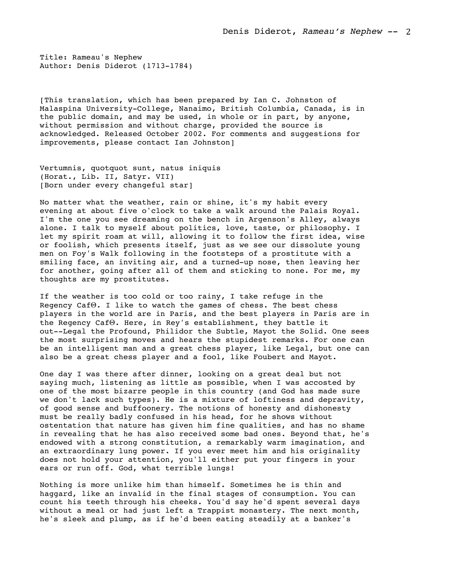Title: Rameau's Nephew Author: Denis Diderot (1713-1784)

[This translation, which has been prepared by Ian C. Johnston of Malaspina University-College, Nanaimo, British Columbia, Canada, is in the public domain, and may be used, in whole or in part, by anyone, without permission and without charge, provided the source is acknowledged. Released October 2002. For comments and suggestions for improvements, please contact Ian Johnston]

Vertumnis, quotquot sunt, natus iniquis (Horat., Lib. II, Satyr. VII) [Born under every changeful star]

No matter what the weather, rain or shine, it's my habit every evening at about five o'clock to take a walk around the Palais Royal. I'm the one you see dreaming on the bench in Argenson's Alley, always alone. I talk to myself about politics, love, taste, or philosophy. I let my spirit roam at will, allowing it to follow the first idea, wise or foolish, which presents itself, just as we see our dissolute young men on Foy's Walk following in the footsteps of a prostitute with a smiling face, an inviting air, and a turned-up nose, then leaving her for another, going after all of them and sticking to none. For me, my thoughts are my prostitutes.

If the weather is too cold or too rainy, I take refuge in the Regency CafΘ. I like to watch the games of chess. The best chess players in the world are in Paris, and the best players in Paris are in the Regency CafΘ. Here, in Rey's establishment, they battle it out--Legal the Profound, Philidor the Subtle, Mayot the Solid. One sees the most surprising moves and hears the stupidest remarks. For one can be an intelligent man and a great chess player, like Legal, but one can also be a great chess player and a fool, like Foubert and Mayot.

One day I was there after dinner, looking on a great deal but not saying much, listening as little as possible, when I was accosted by one of the most bizarre people in this country (and God has made sure we don't lack such types). He is a mixture of loftiness and depravity, of good sense and buffoonery. The notions of honesty and dishonesty must be really badly confused in his head, for he shows without ostentation that nature has given him fine qualities, and has no shame in revealing that he has also received some bad ones. Beyond that, he's endowed with a strong constitution, a remarkably warm imagination, and an extraordinary lung power. If you ever meet him and his originality does not hold your attention, you'll either put your fingers in your ears or run off. God, what terrible lungs!

Nothing is more unlike him than himself. Sometimes he is thin and haggard, like an invalid in the final stages of consumption. You can count his teeth through his cheeks. You'd say he'd spent several days without a meal or had just left a Trappist monastery. The next month, he's sleek and plump, as if he'd been eating steadily at a banker's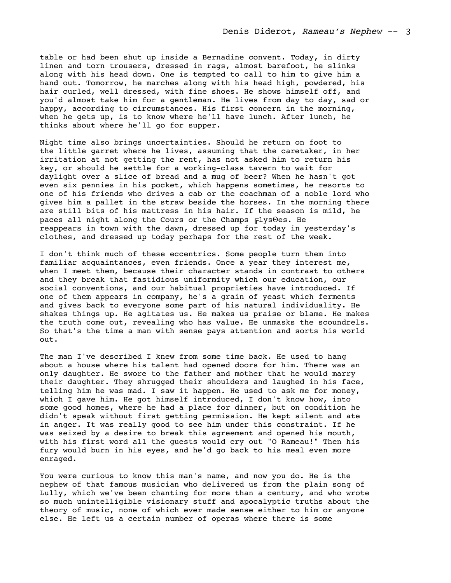table or had been shut up inside a Bernadine convent. Today, in dirty linen and torn trousers, dressed in rags, almost barefoot, he slinks along with his head down. One is tempted to call to him to give him a hand out. Tomorrow, he marches along with his head high, powdered, his hair curled, well dressed, with fine shoes. He shows himself off, and you'd almost take him for a gentleman. He lives from day to day, sad or happy, according to circumstances. His first concern in the morning, when he gets up, is to know where he'll have lunch. After lunch, he thinks about where he'll go for supper.

Night time also brings uncertainties. Should he return on foot to the little garret where he lives, assuming that the caretaker, in her irritation at not getting the rent, has not asked him to return his key, or should he settle for a working-class tavern to wait for daylight over a slice of bread and a mug of beer? When he hasn't got even six pennies in his pocket, which happens sometimes, he resorts to one of his friends who drives a cab or the coachman of a noble lord who gives him a pallet in the straw beside the horses. In the morning there are still bits of his mattress in his hair. If the season is mild, he paces all night along the Cours or the Champs ╔lysΘes. He reappears in town with the dawn, dressed up for today in yesterday's clothes, and dressed up today perhaps for the rest of the week.

I don't think much of these eccentrics. Some people turn them into familiar acquaintances, even friends. Once a year they interest me, when I meet them, because their character stands in contrast to others and they break that fastidious uniformity which our education, our social conventions, and our habitual proprieties have introduced. If one of them appears in company, he's a grain of yeast which ferments and gives back to everyone some part of his natural individuality. He shakes things up. He agitates us. He makes us praise or blame. He makes the truth come out, revealing who has value. He unmasks the scoundrels. So that's the time a man with sense pays attention and sorts his world out.

The man I've described I knew from some time back. He used to hang about a house where his talent had opened doors for him. There was an only daughter. He swore to the father and mother that he would marry their daughter. They shrugged their shoulders and laughed in his face, telling him he was mad. I saw it happen. He used to ask me for money, which I gave him. He got himself introduced, I don't know how, into some good homes, where he had a place for dinner, but on condition he didn't speak without first getting permission. He kept silent and ate in anger. It was really good to see him under this constraint. If he was seized by a desire to break this agreement and opened his mouth, with his first word all the guests would cry out "O Rameau!" Then his fury would burn in his eyes, and he'd go back to his meal even more enraged.

You were curious to know this man's name, and now you do. He is the nephew of that famous musician who delivered us from the plain song of Lully, which we've been chanting for more than a century, and who wrote so much unintelligible visionary stuff and apocalyptic truths about the theory of music, none of which ever made sense either to him or anyone else. He left us a certain number of operas where there is some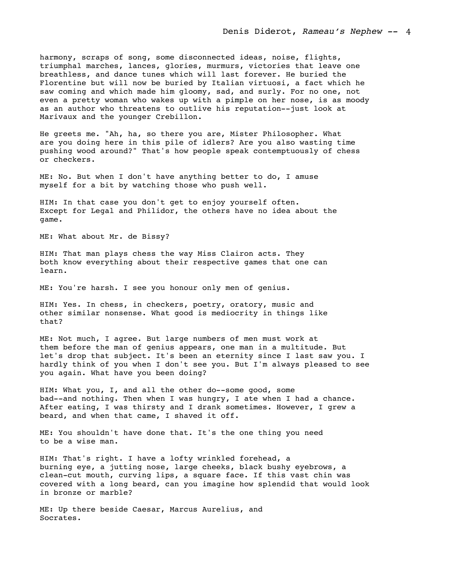harmony, scraps of song, some disconnected ideas, noise, flights, triumphal marches, lances, glories, murmurs, victories that leave one breathless, and dance tunes which will last forever. He buried the Florentine but will now be buried by Italian virtuosi, a fact which he saw coming and which made him gloomy, sad, and surly. For no one, not even a pretty woman who wakes up with a pimple on her nose, is as moody as an author who threatens to outlive his reputation--just look at Marivaux and the younger Crebillon.

He greets me. "Ah, ha, so there you are, Mister Philosopher. What are you doing here in this pile of idlers? Are you also wasting time pushing wood around?" That's how people speak contemptuously of chess or checkers.

ME: No. But when I don't have anything better to do, I amuse myself for a bit by watching those who push well.

HIM: In that case you don't get to enjoy yourself often. Except for Legal and Philidor, the others have no idea about the game.

ME: What about Mr. de Bissy?

HIM: That man plays chess the way Miss Clairon acts. They both know everything about their respective games that one can learn.

ME: You're harsh. I see you honour only men of genius.

HIM: Yes. In chess, in checkers, poetry, oratory, music and other similar nonsense. What good is mediocrity in things like that?

ME: Not much, I agree. But large numbers of men must work at them before the man of genius appears, one man in a multitude. But let's drop that subject. It's been an eternity since I last saw you. I hardly think of you when I don't see you. But I'm always pleased to see you again. What have you been doing?

HIM: What you, I, and all the other do--some good, some bad--and nothing. Then when I was hungry, I ate when I had a chance. After eating, I was thirsty and I drank sometimes. However, I grew a beard, and when that came, I shaved it off.

ME: You shouldn't have done that. It's the one thing you need to be a wise man.

HIM: That's right. I have a lofty wrinkled forehead, a burning eye, a jutting nose, large cheeks, black bushy eyebrows, a clean-cut mouth, curving lips, a square face. If this vast chin was covered with a long beard, can you imagine how splendid that would look in bronze or marble?

ME: Up there beside Caesar, Marcus Aurelius, and Socrates.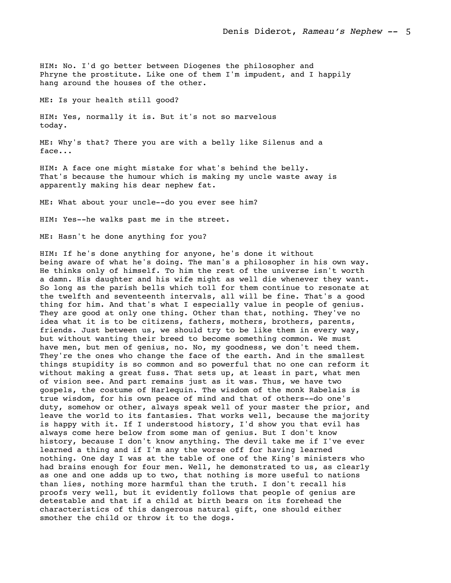HIM: No. I'd go better between Diogenes the philosopher and Phryne the prostitute. Like one of them I'm impudent, and I happily hang around the houses of the other.

ME: Is your health still good?

HIM: Yes, normally it is. But it's not so marvelous today.

ME: Why's that? There you are with a belly like Silenus and a face...

HIM: A face one might mistake for what's behind the belly. That's because the humour which is making my uncle waste away is apparently making his dear nephew fat.

ME: What about your uncle--do you ever see him?

HIM: Yes--he walks past me in the street.

ME: Hasn't he done anything for you?

HIM: If he's done anything for anyone, he's done it without being aware of what he's doing. The man's a philosopher in his own way. He thinks only of himself. To him the rest of the universe isn't worth a damn. His daughter and his wife might as well die whenever they want. So long as the parish bells which toll for them continue to resonate at the twelfth and seventeenth intervals, all will be fine. That's a good thing for him. And that's what I especially value in people of genius. They are good at only one thing. Other than that, nothing. They've no idea what it is to be citizens, fathers, mothers, brothers, parents, friends. Just between us, we should try to be like them in every way, but without wanting their breed to become something common. We must have men, but men of genius, no. No, my goodness, we don't need them. They're the ones who change the face of the earth. And in the smallest things stupidity is so common and so powerful that no one can reform it without making a great fuss. That sets up, at least in part, what men of vision see. And part remains just as it was. Thus, we have two gospels, the costume of Harlequin. The wisdom of the monk Rabelais is true wisdom, for his own peace of mind and that of others--do one's duty, somehow or other, always speak well of your master the prior, and leave the world to its fantasies. That works well, because the majority is happy with it. If I understood history, I'd show you that evil has always come here below from some man of genius. But I don't know history, because I don't know anything. The devil take me if I've ever learned a thing and if I'm any the worse off for having learned nothing. One day I was at the table of one of the King's ministers who had brains enough for four men. Well, he demonstrated to us, as clearly as one and one adds up to two, that nothing is more useful to nations than lies, nothing more harmful than the truth. I don't recall his proofs very well, but it evidently follows that people of genius are detestable and that if a child at birth bears on its forehead the characteristics of this dangerous natural gift, one should either smother the child or throw it to the dogs.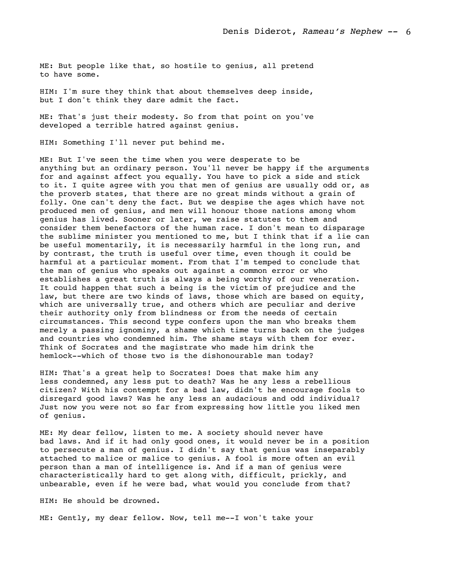ME: But people like that, so hostile to genius, all pretend to have some.

HIM: I'm sure they think that about themselves deep inside, but I don't think they dare admit the fact.

ME: That's just their modesty. So from that point on you've developed a terrible hatred against genius.

HIM: Something I'll never put behind me.

ME: But I've seen the time when you were desperate to be anything but an ordinary person. You'll never be happy if the arguments for and against affect you equally. You have to pick a side and stick to it. I quite agree with you that men of genius are usually odd or, as the proverb states, that there are no great minds without a grain of folly. One can't deny the fact. But we despise the ages which have not produced men of genius, and men will honour those nations among whom genius has lived. Sooner or later, we raise statutes to them and consider them benefactors of the human race. I don't mean to disparage the sublime minister you mentioned to me, but I think that if a lie can be useful momentarily, it is necessarily harmful in the long run, and by contrast, the truth is useful over time, even though it could be harmful at a particular moment. From that I'm temped to conclude that the man of genius who speaks out against a common error or who establishes a great truth is always a being worthy of our veneration. It could happen that such a being is the victim of prejudice and the law, but there are two kinds of laws, those which are based on equity, which are universally true, and others which are peculiar and derive their authority only from blindness or from the needs of certain circumstances. This second type confers upon the man who breaks them merely a passing ignominy, a shame which time turns back on the judges and countries who condemned him. The shame stays with them for ever. Think of Socrates and the magistrate who made him drink the hemlock--which of those two is the dishonourable man today?

HIM: That's a great help to Socrates! Does that make him any less condemned, any less put to death? Was he any less a rebellious citizen? With his contempt for a bad law, didn't he encourage fools to disregard good laws? Was he any less an audacious and odd individual? Just now you were not so far from expressing how little you liked men of genius.

ME: My dear fellow, listen to me. A society should never have bad laws. And if it had only good ones, it would never be in a position to persecute a man of genius. I didn't say that genius was inseparably attached to malice or malice to genius. A fool is more often an evil person than a man of intelligence is. And if a man of genius were characteristically hard to get along with, difficult, prickly, and unbearable, even if he were bad, what would you conclude from that?

HIM: He should be drowned.

ME: Gently, my dear fellow. Now, tell me--I won't take your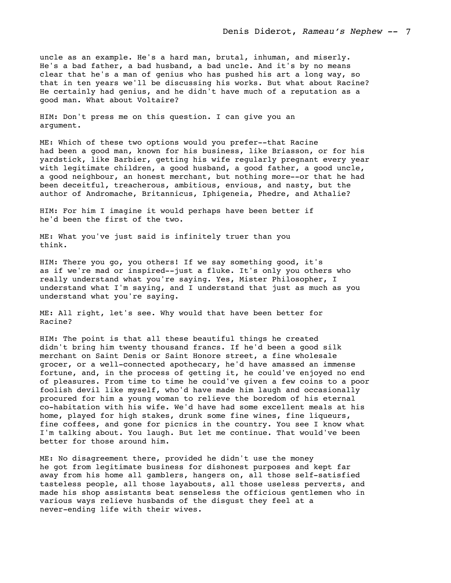uncle as an example. He's a hard man, brutal, inhuman, and miserly. He's a bad father, a bad husband, a bad uncle. And it's by no means clear that he's a man of genius who has pushed his art a long way, so that in ten years we'll be discussing his works. But what about Racine? He certainly had genius, and he didn't have much of a reputation as a good man. What about Voltaire?

HIM: Don't press me on this question. I can give you an argument.

ME: Which of these two options would you prefer--that Racine had been a good man, known for his business, like Briasson, or for his yardstick, like Barbier, getting his wife regularly pregnant every year with legitimate children, a good husband, a good father, a good uncle, a good neighbour, an honest merchant, but nothing more--or that he had been deceitful, treacherous, ambitious, envious, and nasty, but the author of Andromache, Britannicus, Iphigeneia, Phedre, and Athalie?

HIM: For him I imagine it would perhaps have been better if he'd been the first of the two.

ME: What you've just said is infinitely truer than you think.

HIM: There you go, you others! If we say something good, it's as if we're mad or inspired--just a fluke. It's only you others who really understand what you're saying. Yes, Mister Philosopher, I understand what I'm saying, and I understand that just as much as you understand what you're saying.

ME: All right, let's see. Why would that have been better for Racine?

HIM: The point is that all these beautiful things he created didn't bring him twenty thousand francs. If he'd been a good silk merchant on Saint Denis or Saint Honore street, a fine wholesale grocer, or a well-connected apothecary, he'd have amassed an immense fortune, and, in the process of getting it, he could've enjoyed no end of pleasures. From time to time he could've given a few coins to a poor foolish devil like myself, who'd have made him laugh and occasionally procured for him a young woman to relieve the boredom of his eternal co-habitation with his wife. We'd have had some excellent meals at his home, played for high stakes, drunk some fine wines, fine liqueurs, fine coffees, and gone for picnics in the country. You see I know what I'm talking about. You laugh. But let me continue. That would've been better for those around him.

ME: No disagreement there, provided he didn't use the money he got from legitimate business for dishonest purposes and kept far away from his home all gamblers, hangers on, all those self-satisfied tasteless people, all those layabouts, all those useless perverts, and made his shop assistants beat senseless the officious gentlemen who in various ways relieve husbands of the disgust they feel at a never-ending life with their wives.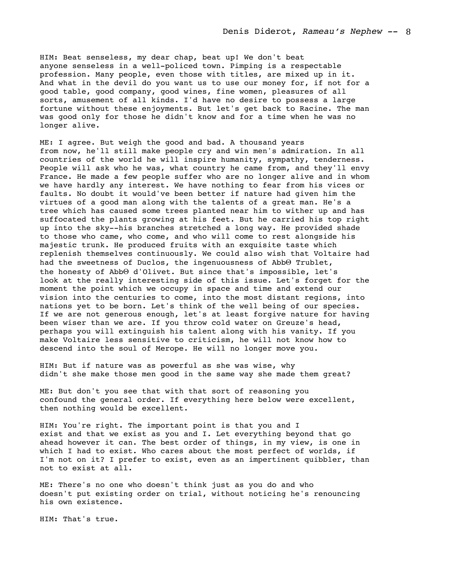HIM: Beat senseless, my dear chap, beat up! We don't beat anyone senseless in a well-policed town. Pimping is a respectable profession. Many people, even those with titles, are mixed up in it. And what in the devil do you want us to use our money for, if not for a good table, good company, good wines, fine women, pleasures of all sorts, amusement of all kinds. I'd have no desire to possess a large fortune without these enjoyments. But let's get back to Racine. The man was good only for those he didn't know and for a time when he was no longer alive.

ME: I agree. But weigh the good and bad. A thousand years from now, he'll still make people cry and win men's admiration. In all countries of the world he will inspire humanity, sympathy, tenderness. People will ask who he was, what country he came from, and they'll envy France. He made a few people suffer who are no longer alive and in whom we have hardly any interest. We have nothing to fear from his vices or faults. No doubt it would've been better if nature had given him the virtues of a good man along with the talents of a great man. He's a tree which has caused some trees planted near him to wither up and has suffocated the plants growing at his feet. But he carried his top right up into the sky--his branches stretched a long way. He provided shade to those who came, who come, and who will come to rest alongside his majestic trunk. He produced fruits with an exquisite taste which replenish themselves continuously. We could also wish that Voltaire had had the sweetness of Duclos, the ingenuousness of Abb $\Theta$  Trublet, the honesty of AbbΘ d'Olivet. But since that's impossible, let's look at the really interesting side of this issue. Let's forget for the moment the point which we occupy in space and time and extend our vision into the centuries to come, into the most distant regions, into nations yet to be born. Let's think of the well being of our species. If we are not generous enough, let's at least forgive nature for having been wiser than we are. If you throw cold water on Greuze's head, perhaps you will extinguish his talent along with his vanity. If you make Voltaire less sensitive to criticism, he will not know how to descend into the soul of Merope. He will no longer move you.

HIM: But if nature was as powerful as she was wise, why didn't she make those men good in the same way she made them great?

ME: But don't you see that with that sort of reasoning you confound the general order. If everything here below were excellent, then nothing would be excellent.

HIM: You're right. The important point is that you and I exist and that we exist as you and I. Let everything beyond that go ahead however it can. The best order of things, in my view, is one in which I had to exist. Who cares about the most perfect of worlds, if I'm not on it? I prefer to exist, even as an impertinent quibbler, than not to exist at all.

ME: There's no one who doesn't think just as you do and who doesn't put existing order on trial, without noticing he's renouncing his own existence.

HIM: That's true.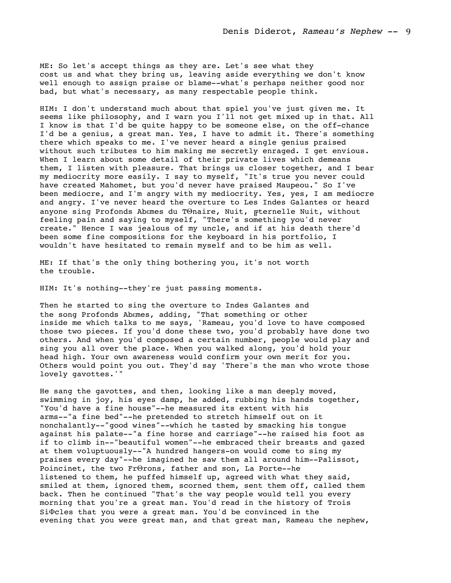ME: So let's accept things as they are. Let's see what they cost us and what they bring us, leaving aside everything we don't know well enough to assign praise or blame--what's perhaps neither good nor bad, but what's necessary, as many respectable people think.

HIM: I don't understand much about that spiel you've just given me. It seems like philosophy, and I warn you I'll not get mixed up in that. All I know is that I'd be quite happy to be someone else, on the off-chance I'd be a genius, a great man. Yes, I have to admit it. There's something there which speaks to me. I've never heard a single genius praised without such tributes to him making me secretly enraged. I get envious. When I learn about some detail of their private lives which demeans them, I listen with pleasure. That brings us closer together, and I bear my mediocrity more easily. I say to myself, "It's true you never could have created Mahomet, but you'd never have praised Maupeou." So I've been mediocre, and I'm angry with my mediocrity. Yes, yes, I am mediocre and angry. I've never heard the overture to Les Indes Galantes or heard anyone sing Profonds Abεmes du TΘnaire, Nuit, ╔ternelle Nuit, without feeling pain and saying to myself, "There's something you'd never create." Hence I was jealous of my uncle, and if at his death there'd been some fine compositions for the keyboard in his portfolio, I wouldn't have hesitated to remain myself and to be him as well.

ME: If that's the only thing bothering you, it's not worth the trouble.

HIM: It's nothing--they're just passing moments.

Then he started to sing the overture to Indes Galantes and the song Profonds Abεmes, adding, "That something or other inside me which talks to me says, 'Rameau, you'd love to have composed those two pieces. If you'd done these two, you'd probably have done two others. And when you'd composed a certain number, people would play and sing you all over the place. When you walked along, you'd hold your head high. Your own awareness would confirm your own merit for you. Others would point you out. They'd say 'There's the man who wrote those lovely gavottes.'"

He sang the gavottes, and then, looking like a man deeply moved, swimming in joy, his eyes damp, he added, rubbing his hands together, "You'd have a fine house"--he measured its extent with his arms--"a fine bed"--he pretended to stretch himself out on it nonchalantly--"good wines"--which he tasted by smacking his tongue against his palate--"a fine horse and carriage"--he raised his foot as if to climb in--"beautiful women"--he embraced their breasts and gazed at them voluptuously--"A hundred hangers-on would come to sing my praises every day"--he imagined he saw them all around him--Palissot, Poincinet, the two FrΘrons, father and son, La Porte--he listened to them, he puffed himself up, agreed with what they said, smiled at them, ignored them, scorned them, sent them off, called them back. Then he continued "That's the way people would tell you every morning that you're a great man. You'd read in the history of Trois SiΦcles that you were a great man. You'd be convinced in the evening that you were great man, and that great man, Rameau the nephew,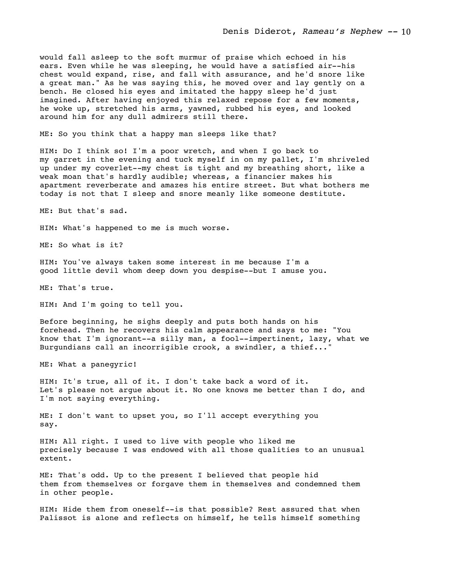would fall asleep to the soft murmur of praise which echoed in his ears. Even while he was sleeping, he would have a satisfied air--his chest would expand, rise, and fall with assurance, and he'd snore like a great man." As he was saying this, he moved over and lay gently on a bench. He closed his eyes and imitated the happy sleep he'd just imagined. After having enjoyed this relaxed repose for a few moments, he woke up, stretched his arms, yawned, rubbed his eyes, and looked around him for any dull admirers still there.

ME: So you think that a happy man sleeps like that?

HIM: Do I think so! I'm a poor wretch, and when I go back to my garret in the evening and tuck myself in on my pallet, I'm shriveled up under my coverlet--my chest is tight and my breathing short, like a weak moan that's hardly audible; whereas, a financier makes his apartment reverberate and amazes his entire street. But what bothers me today is not that I sleep and snore meanly like someone destitute.

ME: But that's sad.

HIM: What's happened to me is much worse.

ME: So what is it?

HIM: You've always taken some interest in me because I'm a good little devil whom deep down you despise--but I amuse you.

ME: That's true.

HIM: And I'm going to tell you.

Before beginning, he sighs deeply and puts both hands on his forehead. Then he recovers his calm appearance and says to me: "You know that I'm ignorant--a silly man, a fool--impertinent, lazy, what we Burgundians call an incorrigible crook, a swindler, a thief..."

ME: What a panegyric!

HIM: It's true, all of it. I don't take back a word of it. Let's please not argue about it. No one knows me better than I do, and I'm not saying everything.

ME: I don't want to upset you, so I'll accept everything you say.

HIM: All right. I used to live with people who liked me precisely because I was endowed with all those qualities to an unusual extent.

ME: That's odd. Up to the present I believed that people hid them from themselves or forgave them in themselves and condemned them in other people.

HIM: Hide them from oneself--is that possible? Rest assured that when Palissot is alone and reflects on himself, he tells himself something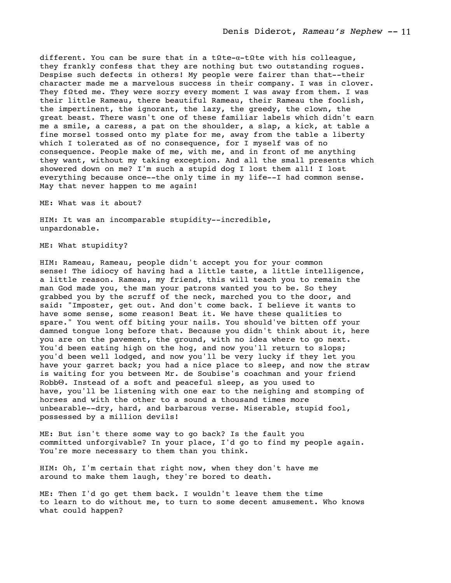different. You can be sure that in a tΩte-α-tΩte with his colleague, they frankly confess that they are nothing but two outstanding rogues. Despise such defects in others! My people were fairer than that--their character made me a marvelous success in their company. I was in clover. They fΩted me. They were sorry every moment I was away from them. I was their little Rameau, there beautiful Rameau, their Rameau the foolish, the impertinent, the ignorant, the lazy, the greedy, the clown, the great beast. There wasn't one of these familiar labels which didn't earn me a smile, a caress, a pat on the shoulder, a slap, a kick, at table a fine morsel tossed onto my plate for me, away from the table a liberty which I tolerated as of no consequence, for I myself was of no consequence. People make of me, with me, and in front of me anything they want, without my taking exception. And all the small presents which showered down on me? I'm such a stupid dog I lost them all! I lost everything because once--the only time in my life--I had common sense. May that never happen to me again!

ME: What was it about?

HIM: It was an incomparable stupidity--incredible, unpardonable.

ME: What stupidity?

HIM: Rameau, Rameau, people didn't accept you for your common sense! The idiocy of having had a little taste, a little intelligence, a little reason. Rameau, my friend, this will teach you to remain the man God made you, the man your patrons wanted you to be. So they grabbed you by the scruff of the neck, marched you to the door, and said: "Imposter, get out. And don't come back. I believe it wants to have some sense, some reason! Beat it. We have these qualities to spare." You went off biting your nails. You should've bitten off your damned tongue long before that. Because you didn't think about it, here you are on the pavement, the ground, with no idea where to go next. You'd been eating high on the hog, and now you'll return to slops; you'd been well lodged, and now you'll be very lucky if they let you have your garret back; you had a nice place to sleep, and now the straw is waiting for you between Mr. de Soubise's coachman and your friend RobbΘ. Instead of a soft and peaceful sleep, as you used to have, you'll be listening with one ear to the neighing and stomping of horses and with the other to a sound a thousand times more unbearable--dry, hard, and barbarous verse. Miserable, stupid fool, possessed by a million devils!

ME: But isn't there some way to go back? Is the fault you committed unforgivable? In your place, I'd go to find my people again. You're more necessary to them than you think.

HIM: Oh, I'm certain that right now, when they don't have me around to make them laugh, they're bored to death.

ME: Then I'd go get them back. I wouldn't leave them the time to learn to do without me, to turn to some decent amusement. Who knows what could happen?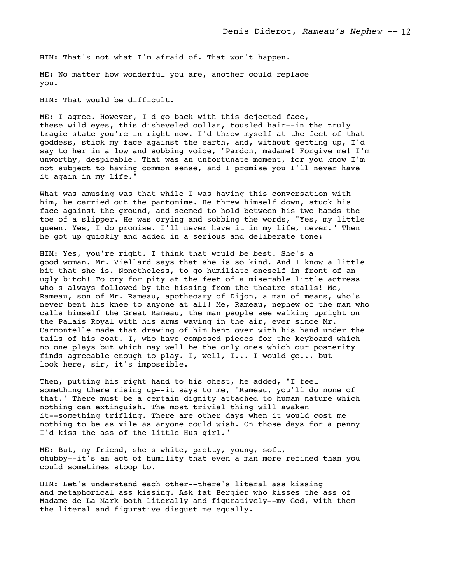HIM: That's not what I'm afraid of. That won't happen.

ME: No matter how wonderful you are, another could replace you.

HIM: That would be difficult.

ME: I agree. However, I'd go back with this dejected face, these wild eyes, this disheveled collar, tousled hair--in the truly tragic state you're in right now. I'd throw myself at the feet of that goddess, stick my face against the earth, and, without getting up, I'd say to her in a low and sobbing voice, "Pardon, madame! Forgive me! I'm unworthy, despicable. That was an unfortunate moment, for you know I'm not subject to having common sense, and I promise you I'll never have it again in my life."

What was amusing was that while I was having this conversation with him, he carried out the pantomime. He threw himself down, stuck his face against the ground, and seemed to hold between his two hands the toe of a slipper. He was crying and sobbing the words, "Yes, my little queen. Yes, I do promise. I'll never have it in my life, never." Then he got up quickly and added in a serious and deliberate tone:

HIM: Yes, you're right. I think that would be best. She's a good woman. Mr. Viellard says that she is so kind. And I know a little bit that she is. Nonetheless, to go humiliate oneself in front of an ugly bitch! To cry for pity at the feet of a miserable little actress who's always followed by the hissing from the theatre stalls! Me, Rameau, son of Mr. Rameau, apothecary of Dijon, a man of means, who's never bent his knee to anyone at all! Me, Rameau, nephew of the man who calls himself the Great Rameau, the man people see walking upright on the Palais Royal with his arms waving in the air, ever since Mr. Carmontelle made that drawing of him bent over with his hand under the tails of his coat. I, who have composed pieces for the keyboard which no one plays but which may well be the only ones which our posterity finds agreeable enough to play. I, well, I... I would go... but look here, sir, it's impossible.

Then, putting his right hand to his chest, he added, "I feel something there rising up--it says to me, 'Rameau, you'll do none of that.' There must be a certain dignity attached to human nature which nothing can extinguish. The most trivial thing will awaken it--something trifling. There are other days when it would cost me nothing to be as vile as anyone could wish. On those days for a penny I'd kiss the ass of the little Hus girl."

ME: But, my friend, she's white, pretty, young, soft, chubby--it's an act of humility that even a man more refined than you could sometimes stoop to.

HIM: Let's understand each other--there's literal ass kissing and metaphorical ass kissing. Ask fat Bergier who kisses the ass of Madame de La Mark both literally and figuratively--my God, with them the literal and figurative disgust me equally.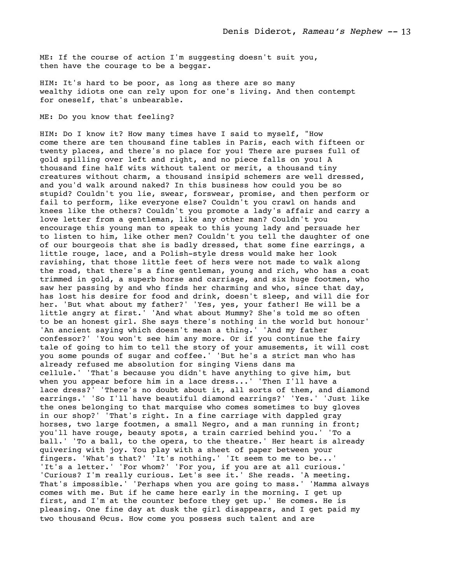ME: If the course of action I'm suggesting doesn't suit you, then have the courage to be a beggar.

HIM: It's hard to be poor, as long as there are so many wealthy idiots one can rely upon for one's living. And then contempt for oneself, that's unbearable.

ME: Do you know that feeling?

HIM: Do I know it? How many times have I said to myself, "How come there are ten thousand fine tables in Paris, each with fifteen or twenty places, and there's no place for you! There are purses full of gold spilling over left and right, and no piece falls on you! A thousand fine half wits without talent or merit, a thousand tiny creatures without charm, a thousand insipid schemers are well dressed, and you'd walk around naked? In this business how could you be so stupid? Couldn't you lie, swear, forswear, promise, and then perform or fail to perform, like everyone else? Couldn't you crawl on hands and knees like the others? Couldn't you promote a lady's affair and carry a love letter from a gentleman, like any other man? Couldn't you encourage this young man to speak to this young lady and persuade her to listen to him, like other men? Couldn't you tell the daughter of one of our bourgeois that she is badly dressed, that some fine earrings, a little rouge, lace, and a Polish-style dress would make her look ravishing, that those little feet of hers were not made to walk along the road, that there's a fine gentleman, young and rich, who has a coat trimmed in gold, a superb horse and carriage, and six huge footmen, who saw her passing by and who finds her charming and who, since that day, has lost his desire for food and drink, doesn't sleep, and will die for her. 'But what about my father?' 'Yes, yes, your father! He will be a little angry at first.' 'And what about Mummy? She's told me so often to be an honest girl. She says there's nothing in the world but honour' 'An ancient saying which doesn't mean a thing.' 'And my father confessor?' 'You won't see him any more. Or if you continue the fairy tale of going to him to tell the story of your amusements, it will cost you some pounds of sugar and coffee.' 'But he's a strict man who has already refused me absolution for singing Viens dans ma cellule.' 'That's because you didn't have anything to give him, but when you appear before him in a lace dress...' 'Then I'll have a lace dress?' 'There's no doubt about it, all sorts of them, and diamond earrings.' 'So I'll have beautiful diamond earrings?' 'Yes.' 'Just like the ones belonging to that marquise who comes sometimes to buy gloves in our shop?' 'That's right. In a fine carriage with dappled gray horses, two large footmen, a small Negro, and a man running in front; you'll have rouge, beauty spots, a train carried behind you.' 'To a ball.' 'To a ball, to the opera, to the theatre.' Her heart is already quivering with joy. You play with a sheet of paper between your fingers. 'What's that?' 'It's nothing.' 'It seem to me to be...' 'It's a letter.' 'For whom?' 'For you, if you are at all curious.' 'Curious? I'm really curious. Let's see it.' She reads. 'A meeting. That's impossible.' 'Perhaps when you are going to mass.' 'Mamma always comes with me. But if he came here early in the morning. I get up first, and I'm at the counter before they get up.' He comes. He is pleasing. One fine day at dusk the girl disappears, and I get paid my two thousand Θcus. How come you possess such talent and are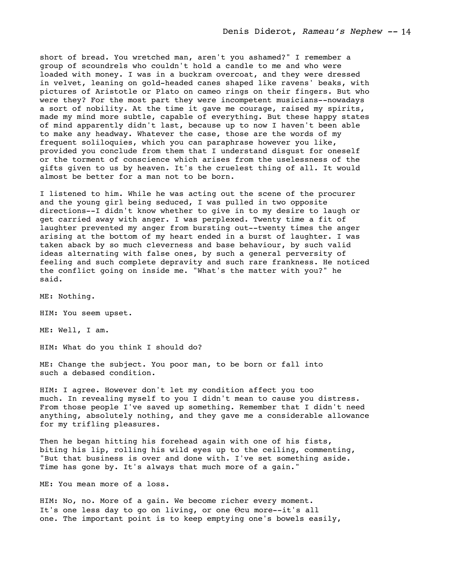short of bread. You wretched man, aren't you ashamed?" I remember a group of scoundrels who couldn't hold a candle to me and who were loaded with money. I was in a buckram overcoat, and they were dressed in velvet, leaning on gold-headed canes shaped like ravens' beaks, with pictures of Aristotle or Plato on cameo rings on their fingers. But who were they? For the most part they were incompetent musicians--nowadays a sort of nobility. At the time it gave me courage, raised my spirits, made my mind more subtle, capable of everything. But these happy states of mind apparently didn't last, because up to now I haven't been able to make any headway. Whatever the case, those are the words of my frequent soliloquies, which you can paraphrase however you like, provided you conclude from them that I understand disgust for oneself or the torment of conscience which arises from the uselessness of the gifts given to us by heaven. It's the cruelest thing of all. It would almost be better for a man not to be born.

I listened to him. While he was acting out the scene of the procurer and the young girl being seduced, I was pulled in two opposite directions--I didn't know whether to give in to my desire to laugh or get carried away with anger. I was perplexed. Twenty time a fit of laughter prevented my anger from bursting out--twenty times the anger arising at the bottom of my heart ended in a burst of laughter. I was taken aback by so much cleverness and base behaviour, by such valid ideas alternating with false ones, by such a general perversity of feeling and such complete depravity and such rare frankness. He noticed the conflict going on inside me. "What's the matter with you?" he said.

ME: Nothing.

HIM: You seem upset.

ME: Well, I am.

HIM: What do you think I should do?

ME: Change the subject. You poor man, to be born or fall into such a debased condition.

HIM: I agree. However don't let my condition affect you too much. In revealing myself to you I didn't mean to cause you distress. From those people I've saved up something. Remember that I didn't need anything, absolutely nothing, and they gave me a considerable allowance for my trifling pleasures.

Then he began hitting his forehead again with one of his fists, biting his lip, rolling his wild eyes up to the ceiling, commenting, "But that business is over and done with. I've set something aside. Time has gone by. It's always that much more of a gain."

ME: You mean more of a loss.

HIM: No, no. More of a gain. We become richer every moment. It's one less day to go on living, or one Θcu more--it's all one. The important point is to keep emptying one's bowels easily,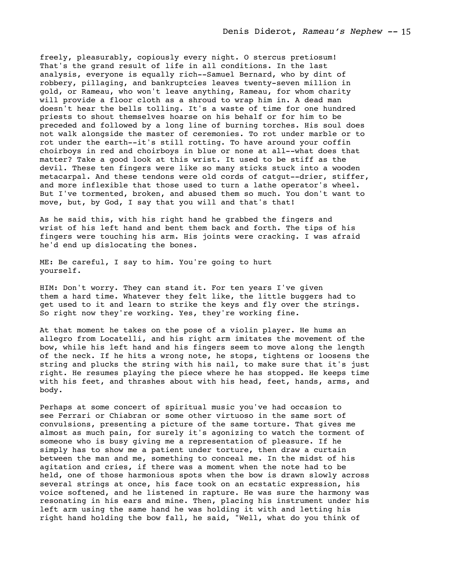freely, pleasurably, copiously every night. O stercus pretiosum! That's the grand result of life in all conditions. In the last analysis, everyone is equally rich--Samuel Bernard, who by dint of robbery, pillaging, and bankruptcies leaves twenty-seven million in gold, or Rameau, who won't leave anything, Rameau, for whom charity will provide a floor cloth as a shroud to wrap him in. A dead man doesn't hear the bells tolling. It's a waste of time for one hundred priests to shout themselves hoarse on his behalf or for him to be preceded and followed by a long line of burning torches. His soul does not walk alongside the master of ceremonies. To rot under marble or to rot under the earth--it's still rotting. To have around your coffin choirboys in red and choirboys in blue or none at all--what does that matter? Take a good look at this wrist. It used to be stiff as the devil. These ten fingers were like so many sticks stuck into a wooden metacarpal. And these tendons were old cords of catgut--drier, stiffer, and more inflexible that those used to turn a lathe operator's wheel. But I've tormented, broken, and abused them so much. You don't want to move, but, by God, I say that you will and that's that!

As he said this, with his right hand he grabbed the fingers and wrist of his left hand and bent them back and forth. The tips of his fingers were touching his arm. His joints were cracking. I was afraid he'd end up dislocating the bones.

ME: Be careful, I say to him. You're going to hurt yourself.

HIM: Don't worry. They can stand it. For ten years I've given them a hard time. Whatever they felt like, the little buggers had to get used to it and learn to strike the keys and fly over the strings. So right now they're working. Yes, they're working fine.

At that moment he takes on the pose of a violin player. He hums an allegro from Locatelli, and his right arm imitates the movement of the bow, while his left hand and his fingers seem to move along the length of the neck. If he hits a wrong note, he stops, tightens or loosens the string and plucks the string with his nail, to make sure that it's just right. He resumes playing the piece where he has stopped. He keeps time with his feet, and thrashes about with his head, feet, hands, arms, and body.

Perhaps at some concert of spiritual music you've had occasion to see Ferrari or Chiabran or some other virtuoso in the same sort of convulsions, presenting a picture of the same torture. That gives me almost as much pain, for surely it's agonizing to watch the torment of someone who is busy giving me a representation of pleasure. If he simply has to show me a patient under torture, then draw a curtain between the man and me, something to conceal me. In the midst of his agitation and cries, if there was a moment when the note had to be held, one of those harmonious spots when the bow is drawn slowly across several strings at once, his face took on an ecstatic expression, his voice softened, and he listened in rapture. He was sure the harmony was resonating in his ears and mine. Then, placing his instrument under his left arm using the same hand he was holding it with and letting his right hand holding the bow fall, he said, "Well, what do you think of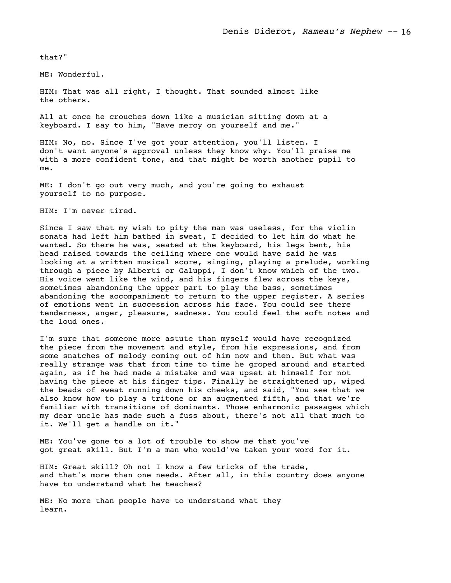that?"

ME: Wonderful.

HIM: That was all right, I thought. That sounded almost like the others.

All at once he crouches down like a musician sitting down at a keyboard. I say to him, "Have mercy on yourself and me."

HIM: No, no. Since I've got your attention, you'll listen. I don't want anyone's approval unless they know why. You'll praise me with a more confident tone, and that might be worth another pupil to me.

ME: I don't go out very much, and you're going to exhaust yourself to no purpose.

HIM: I'm never tired.

Since I saw that my wish to pity the man was useless, for the violin sonata had left him bathed in sweat, I decided to let him do what he wanted. So there he was, seated at the keyboard, his legs bent, his head raised towards the ceiling where one would have said he was looking at a written musical score, singing, playing a prelude, working through a piece by Alberti or Galuppi, I don't know which of the two. His voice went like the wind, and his fingers flew across the keys, sometimes abandoning the upper part to play the bass, sometimes abandoning the accompaniment to return to the upper register. A series of emotions went in succession across his face. You could see there tenderness, anger, pleasure, sadness. You could feel the soft notes and the loud ones.

I'm sure that someone more astute than myself would have recognized the piece from the movement and style, from his expressions, and from some snatches of melody coming out of him now and then. But what was really strange was that from time to time he groped around and started again, as if he had made a mistake and was upset at himself for not having the piece at his finger tips. Finally he straightened up, wiped the beads of sweat running down his cheeks, and said, "You see that we also know how to play a tritone or an augmented fifth, and that we're familiar with transitions of dominants. Those enharmonic passages which my dear uncle has made such a fuss about, there's not all that much to it. We'll get a handle on it."

ME: You've gone to a lot of trouble to show me that you've got great skill. But I'm a man who would've taken your word for it.

HIM: Great skill? Oh no! I know a few tricks of the trade, and that's more than one needs. After all, in this country does anyone have to understand what he teaches?

ME: No more than people have to understand what they learn.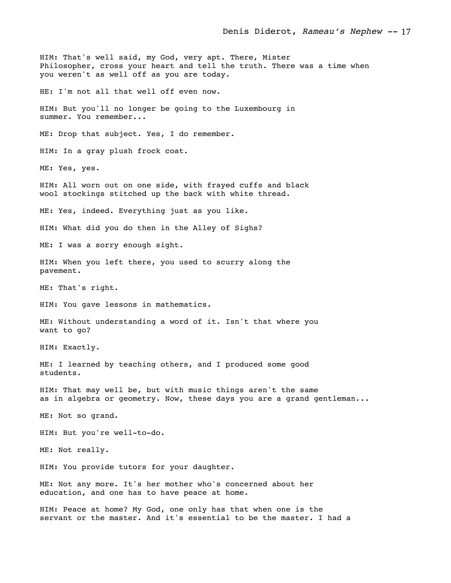HIM: That's well said, my God, very apt. There, Mister Philosopher, cross your heart and tell the truth. There was a time when you weren't as well off as you are today. HE: I'm not all that well off even now. HIM: But you'll no longer be going to the Luxembourg in summer. You remember... ME: Drop that subject. Yes, I do remember. HIM: In a gray plush frock coat. ME: Yes, yes. HIM: All worn out on one side, with frayed cuffs and black wool stockings stitched up the back with white thread. ME: Yes, indeed. Everything just as you like. HIM: What did you do then in the Alley of Sighs? ME: I was a sorry enough sight. HIM: When you left there, you used to scurry along the pavement. ME: That's right. HIM: You gave lessons in mathematics. ME: Without understanding a word of it. Isn't that where you want to go? HIM: Exactly. ME: I learned by teaching others, and I produced some good students. HIM: That may well be, but with music things aren't the same as in algebra or geometry. Now, these days you are a grand gentleman... ME: Not so grand. HIM: But you're well-to-do. ME: Not really. HIM: You provide tutors for your daughter. ME: Not any more. It's her mother who's concerned about her education, and one has to have peace at home. HIM: Peace at home? My God, one only has that when one is the

servant or the master. And it's essential to be the master. I had a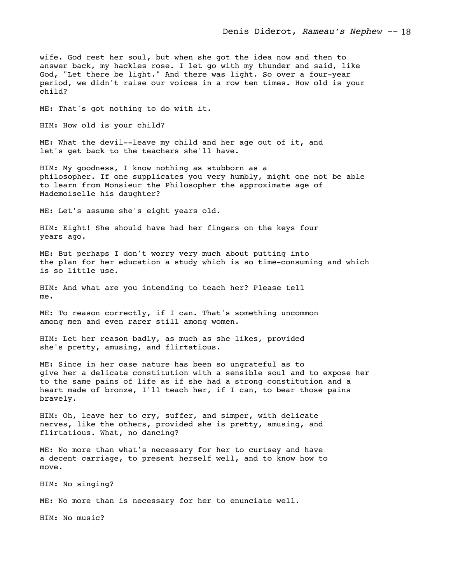wife. God rest her soul, but when she got the idea now and then to answer back, my hackles rose. I let go with my thunder and said, like God, "Let there be light." And there was light. So over a four-year period, we didn't raise our voices in a row ten times. How old is your child?

ME: That's got nothing to do with it.

HIM: How old is your child?

ME: What the devil--leave my child and her age out of it, and let's get back to the teachers she'll have.

HIM: My goodness, I know nothing as stubborn as a philosopher. If one supplicates you very humbly, might one not be able to learn from Monsieur the Philosopher the approximate age of Mademoiselle his daughter?

ME: Let's assume she's eight years old.

HIM: Eight! She should have had her fingers on the keys four years ago.

ME: But perhaps I don't worry very much about putting into the plan for her education a study which is so time-consuming and which is so little use.

HIM: And what are you intending to teach her? Please tell me.

ME: To reason correctly, if I can. That's something uncommon among men and even rarer still among women.

HIM: Let her reason badly, as much as she likes, provided she's pretty, amusing, and flirtatious.

ME: Since in her case nature has been so ungrateful as to give her a delicate constitution with a sensible soul and to expose her to the same pains of life as if she had a strong constitution and a heart made of bronze, I'll teach her, if I can, to bear those pains bravely.

HIM: Oh, leave her to cry, suffer, and simper, with delicate nerves, like the others, provided she is pretty, amusing, and flirtatious. What, no dancing?

ME: No more than what's necessary for her to curtsey and have a decent carriage, to present herself well, and to know how to move.

HIM: No singing?

ME: No more than is necessary for her to enunciate well.

HIM: No music?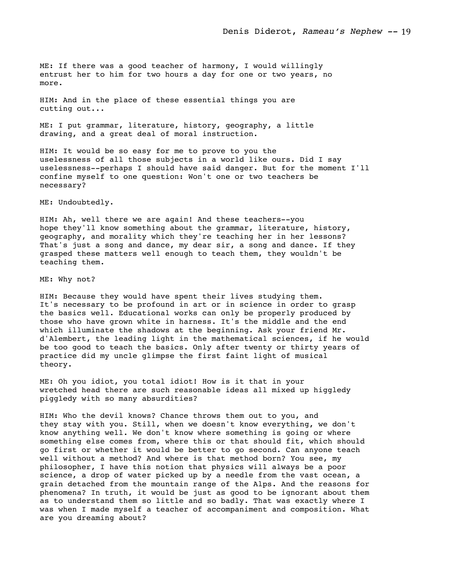ME: If there was a good teacher of harmony, I would willingly entrust her to him for two hours a day for one or two years, no more.

HIM: And in the place of these essential things you are cutting out...

ME: I put grammar, literature, history, geography, a little drawing, and a great deal of moral instruction.

HIM: It would be so easy for me to prove to you the uselessness of all those subjects in a world like ours. Did I say uselessness--perhaps I should have said danger. But for the moment I'll confine myself to one question: Won't one or two teachers be necessary?

ME: Undoubtedly.

HIM: Ah, well there we are again! And these teachers--you hope they'll know something about the grammar, literature, history, geography, and morality which they're teaching her in her lessons? That's just a song and dance, my dear sir, a song and dance. If they grasped these matters well enough to teach them, they wouldn't be teaching them.

ME: Why not?

HIM: Because they would have spent their lives studying them. It's necessary to be profound in art or in science in order to grasp the basics well. Educational works can only be properly produced by those who have grown white in harness. It's the middle and the end which illuminate the shadows at the beginning. Ask your friend Mr. d'Alembert, the leading light in the mathematical sciences, if he would be too good to teach the basics. Only after twenty or thirty years of practice did my uncle glimpse the first faint light of musical theory.

ME: Oh you idiot, you total idiot! How is it that in your wretched head there are such reasonable ideas all mixed up higgledy piggledy with so many absurdities?

HIM: Who the devil knows? Chance throws them out to you, and they stay with you. Still, when we doesn't know everything, we don't know anything well. We don't know where something is going or where something else comes from, where this or that should fit, which should go first or whether it would be better to go second. Can anyone teach well without a method? And where is that method born? You see, my philosopher, I have this notion that physics will always be a poor science, a drop of water picked up by a needle from the vast ocean, a grain detached from the mountain range of the Alps. And the reasons for phenomena? In truth, it would be just as good to be ignorant about them as to understand them so little and so badly. That was exactly where I was when I made myself a teacher of accompaniment and composition. What are you dreaming about?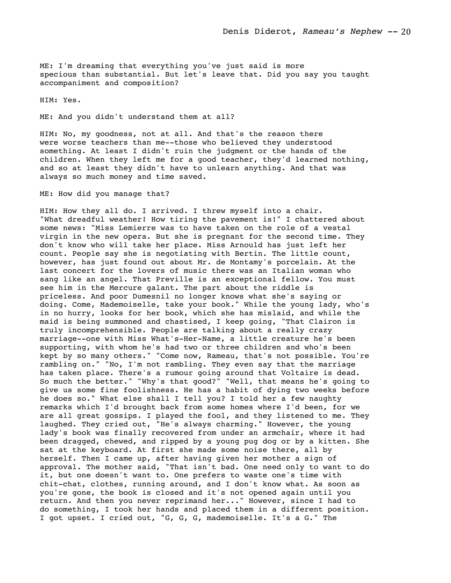ME: I'm dreaming that everything you've just said is more specious than substantial. But let's leave that. Did you say you taught accompaniment and composition?

HIM: Yes.

ME: And you didn't understand them at all?

HIM: No, my goodness, not at all. And that's the reason there were worse teachers than me--those who believed they understood something. At least I didn't ruin the judgment or the hands of the children. When they left me for a good teacher, they'd learned nothing, and so at least they didn't have to unlearn anything. And that was always so much money and time saved.

ME: How did you manage that?

HIM: How they all do. I arrived. I threw myself into a chair. "What dreadful weather! How tiring the pavement is!" I chattered about some news: "Miss Lemierre was to have taken on the role of a vestal virgin in the new opera. But she is pregnant for the second time. They don't know who will take her place. Miss Arnould has just left her count. People say she is negotiating with Bertin. The little count, however, has just found out about Mr. de Montamy's porcelain. At the last concert for the lovers of music there was an Italian woman who sang like an angel. That Preville is an exceptional fellow. You must see him in the Mercure galant. The part about the riddle is priceless. And poor Dumesnil no longer knows what she's saying or doing. Come, Mademoiselle, take your book." While the young lady, who's in no hurry, looks for her book, which she has mislaid, and while the maid is being summoned and chastised, I keep going, "That Clairon is truly incomprehensible. People are talking about a really crazy marriage--one with Miss What's-Her-Name, a little creature he's been supporting, with whom he's had two or three children and who's been kept by so many others." "Come now, Rameau, that's not possible. You're rambling on." "No, I'm not rambling. They even say that the marriage has taken place. There's a rumour going around that Voltaire is dead. So much the better." "Why's that good?" "Well, that means he's going to give us some fine foolishness. He has a habit of dying two weeks before he does so." What else shall I tell you? I told her a few naughty remarks which I'd brought back from some homes where I'd been, for we are all great gossips. I played the fool, and they listened to me. They laughed. They cried out, "He's always charming." However, the young lady's book was finally recovered from under an armchair, where it had been dragged, chewed, and ripped by a young pug dog or by a kitten. She sat at the keyboard. At first she made some noise there, all by herself. Then I came up, after having given her mother a sign of approval. The mother said, "That isn't bad. One need only to want to do it, but one doesn't want to. One prefers to waste one's time with chit-chat, clothes, running around, and I don't know what. As soon as you're gone, the book is closed and it's not opened again until you return. And then you never reprimand her..." However, since I had to do something, I took her hands and placed them in a different position. I got upset. I cried out, "G, G, G, mademoiselle. It's a G." The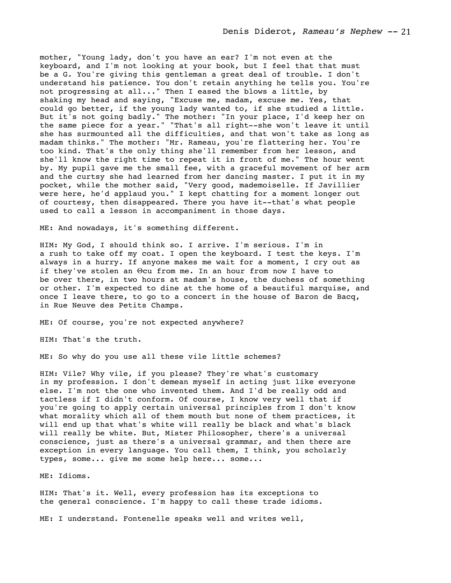mother, "Young lady, don't you have an ear? I'm not even at the keyboard, and I'm not looking at your book, but I feel that that must be a G. You're giving this gentleman a great deal of trouble. I don't understand his patience. You don't retain anything he tells you. You're not progressing at all..." Then I eased the blows a little, by shaking my head and saying, "Excuse me, madam, excuse me. Yes, that could go better, if the young lady wanted to, if she studied a little. But it's not going badly." The mother: "In your place, I'd keep her on the same piece for a year." "That's all right--she won't leave it until she has surmounted all the difficulties, and that won't take as long as madam thinks." The mother: "Mr. Rameau, you're flattering her. You're too kind. That's the only thing she'll remember from her lesson, and she'll know the right time to repeat it in front of me." The hour went by. My pupil gave me the small fee, with a graceful movement of her arm and the curtsy she had learned from her dancing master. I put it in my pocket, while the mother said, "Very good, mademoiselle. If Javillier were here, he'd applaud you." I kept chatting for a moment longer out of courtesy, then disappeared. There you have it--that's what people used to call a lesson in accompaniment in those days.

ME: And nowadays, it's something different.

HIM: My God, I should think so. I arrive. I'm serious. I'm in a rush to take off my coat. I open the keyboard. I test the keys. I'm always in a hurry. If anyone makes me wait for a moment, I cry out as if they've stolen an Θcu from me. In an hour from now I have to be over there, in two hours at madam's house, the duchess of something or other. I'm expected to dine at the home of a beautiful marquise, and once I leave there, to go to a concert in the house of Baron de Bacq, in Rue Neuve des Petits Champs.

ME: Of course, you're not expected anywhere?

HIM: That's the truth.

ME: So why do you use all these vile little schemes?

HIM: Vile? Why vile, if you please? They're what's customary in my profession. I don't demean myself in acting just like everyone else. I'm not the one who invented them. And I'd be really odd and tactless if I didn't conform. Of course, I know very well that if you're going to apply certain universal principles from I don't know what morality which all of them mouth but none of them practices, it will end up that what's white will really be black and what's black will really be white. But, Mister Philosopher, there's a universal conscience, just as there's a universal grammar, and then there are exception in every language. You call them, I think, you scholarly types, some... give me some help here... some...

ME: Idioms.

HIM: That's it. Well, every profession has its exceptions to the general conscience. I'm happy to call these trade idioms.

ME: I understand. Fontenelle speaks well and writes well,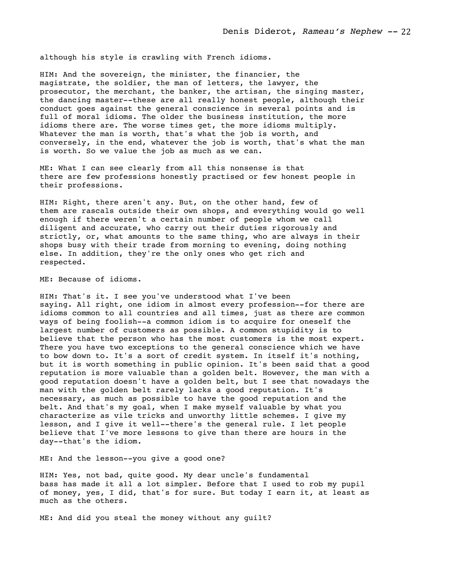although his style is crawling with French idioms.

HIM: And the sovereign, the minister, the financier, the magistrate, the soldier, the man of letters, the lawyer, the prosecutor, the merchant, the banker, the artisan, the singing master, the dancing master--these are all really honest people, although their conduct goes against the general conscience in several points and is full of moral idioms. The older the business institution, the more idioms there are. The worse times get, the more idioms multiply. Whatever the man is worth, that's what the job is worth, and conversely, in the end, whatever the job is worth, that's what the man is worth. So we value the job as much as we can.

ME: What I can see clearly from all this nonsense is that there are few professions honestly practised or few honest people in their professions.

HIM: Right, there aren't any. But, on the other hand, few of them are rascals outside their own shops, and everything would go well enough if there weren't a certain number of people whom we call diligent and accurate, who carry out their duties rigorously and strictly, or, what amounts to the same thing, who are always in their shops busy with their trade from morning to evening, doing nothing else. In addition, they're the only ones who get rich and respected.

ME: Because of idioms.

HIM: That's it. I see you've understood what I've been saying. All right, one idiom in almost every profession--for there are idioms common to all countries and all times, just as there are common ways of being foolish--a common idiom is to acquire for oneself the largest number of customers as possible. A common stupidity is to believe that the person who has the most customers is the most expert. There you have two exceptions to the general conscience which we have to bow down to. It's a sort of credit system. In itself it's nothing, but it is worth something in public opinion. It's been said that a good reputation is more valuable than a golden belt. However, the man with a good reputation doesn't have a golden belt, but I see that nowadays the man with the golden belt rarely lacks a good reputation. It's necessary, as much as possible to have the good reputation and the belt. And that's my goal, when I make myself valuable by what you characterize as vile tricks and unworthy little schemes. I give my lesson, and I give it well--there's the general rule. I let people believe that I've more lessons to give than there are hours in the day--that's the idiom.

ME: And the lesson--you give a good one?

HIM: Yes, not bad, quite good. My dear uncle's fundamental bass has made it all a lot simpler. Before that I used to rob my pupil of money, yes, I did, that's for sure. But today I earn it, at least as much as the others.

ME: And did you steal the money without any guilt?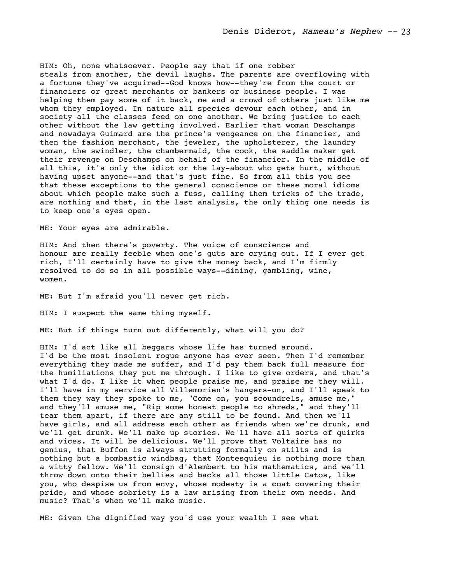HIM: Oh, none whatsoever. People say that if one robber steals from another, the devil laughs. The parents are overflowing with a fortune they've acquired--God knows how--they're from the court or financiers or great merchants or bankers or business people. I was helping them pay some of it back, me and a crowd of others just like me whom they employed. In nature all species devour each other, and in society all the classes feed on one another. We bring justice to each other without the law getting involved. Earlier that woman Deschamps and nowadays Guimard are the prince's vengeance on the financier, and then the fashion merchant, the jeweler, the upholsterer, the laundry woman, the swindler, the chambermaid, the cook, the saddle maker get their revenge on Deschamps on behalf of the financier. In the middle of all this, it's only the idiot or the lay-about who gets hurt, without having upset anyone--and that's just fine. So from all this you see that these exceptions to the general conscience or these moral idioms about which people make such a fuss, calling them tricks of the trade, are nothing and that, in the last analysis, the only thing one needs is to keep one's eyes open.

ME: Your eyes are admirable.

HIM: And then there's poverty. The voice of conscience and honour are really feeble when one's guts are crying out. If I ever get rich, I'll certainly have to give the money back, and I'm firmly resolved to do so in all possible ways--dining, gambling, wine, women.

ME: But I'm afraid you'll never get rich.

HIM: I suspect the same thing myself.

ME: But if things turn out differently, what will you do?

HIM: I'd act like all beggars whose life has turned around. I'd be the most insolent rogue anyone has ever seen. Then I'd remember everything they made me suffer, and I'd pay them back full measure for the humiliations they put me through. I like to give orders, and that's what I'd do. I like it when people praise me, and praise me they will. I'll have in my service all Villemorien's hangers-on, and I'll speak to them they way they spoke to me, "Come on, you scoundrels, amuse me," and they'll amuse me, "Rip some honest people to shreds," and they'll tear them apart, if there are any still to be found. And then we'll have girls, and all address each other as friends when we're drunk, and we'll get drunk. We'll make up stories. We'll have all sorts of quirks and vices. It will be delicious. We'll prove that Voltaire has no genius, that Buffon is always strutting formally on stilts and is nothing but a bombastic windbag, that Montesquieu is nothing more than a witty fellow. We'll consign d'Alembert to his mathematics, and we'll throw down onto their bellies and backs all those little Catos, like you, who despise us from envy, whose modesty is a coat covering their pride, and whose sobriety is a law arising from their own needs. And music? That's when we'll make music.

ME: Given the dignified way you'd use your wealth I see what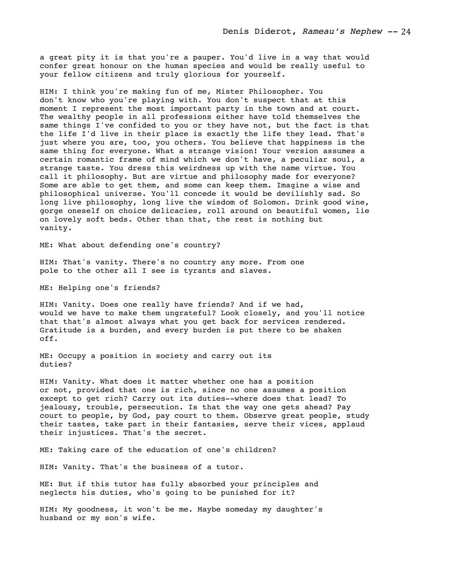a great pity it is that you're a pauper. You'd live in a way that would confer great honour on the human species and would be really useful to your fellow citizens and truly glorious for yourself.

HIM: I think you're making fun of me, Mister Philosopher. You don't know who you're playing with. You don't suspect that at this moment I represent the most important party in the town and at court. The wealthy people in all professions either have told themselves the same things I've confided to you or they have not, but the fact is that the life I'd live in their place is exactly the life they lead. That's just where you are, too, you others. You believe that happiness is the same thing for everyone. What a strange vision! Your version assumes a certain romantic frame of mind which we don't have, a peculiar soul, a strange taste. You dress this weirdness up with the name virtue. You call it philosophy. But are virtue and philosophy made for everyone? Some are able to get them, and some can keep them. Imagine a wise and philosophical universe. You'll concede it would be devilishly sad. So long live philosophy, long live the wisdom of Solomon. Drink good wine, gorge oneself on choice delicacies, roll around on beautiful women, lie on lovely soft beds. Other than that, the rest is nothing but vanity.

ME: What about defending one's country?

HIM: That's vanity. There's no country any more. From one pole to the other all I see is tyrants and slaves.

ME: Helping one's friends?

HIM: Vanity. Does one really have friends? And if we had, would we have to make them ungrateful? Look closely, and you'll notice that that's almost always what you get back for services rendered. Gratitude is a burden, and every burden is put there to be shaken off.

ME: Occupy a position in society and carry out its duties?

HIM: Vanity. What does it matter whether one has a position or not, provided that one is rich, since no one assumes a position except to get rich? Carry out its duties--where does that lead? To jealousy, trouble, persecution. Is that the way one gets ahead? Pay court to people, by God, pay court to them. Observe great people, study their tastes, take part in their fantasies, serve their vices, applaud their injustices. That's the secret.

ME: Taking care of the education of one's children?

HIM: Vanity. That's the business of a tutor.

ME: But if this tutor has fully absorbed your principles and neglects his duties, who's going to be punished for it?

HIM: My goodness, it won't be me. Maybe someday my daughter's husband or my son's wife.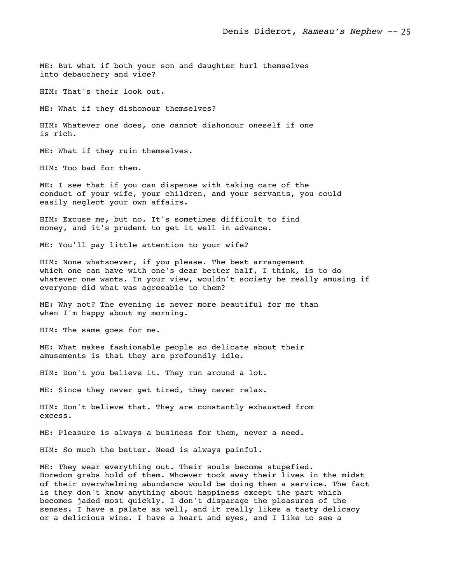ME: But what if both your son and daughter hurl themselves into debauchery and vice?

HIM: That's their look out.

ME: What if they dishonour themselves?

HIM: Whatever one does, one cannot dishonour oneself if one is rich.

ME: What if they ruin themselves.

HIM: Too bad for them.

ME: I see that if you can dispense with taking care of the conduct of your wife, your children, and your servants, you could easily neglect your own affairs.

HIM: Excuse me, but no. It's sometimes difficult to find money, and it's prudent to get it well in advance.

ME: You'll pay little attention to your wife?

HIM: None whatsoever, if you please. The best arrangement which one can have with one's dear better half, I think, is to do whatever one wants. In your view, wouldn't society be really amusing if everyone did what was agreeable to them?

ME: Why not? The evening is never more beautiful for me than when I'm happy about my morning.

HIM: The same goes for me.

ME: What makes fashionable people so delicate about their amusements is that they are profoundly idle.

HIM: Don't you believe it. They run around a lot.

ME: Since they never get tired, they never relax.

HIM: Don't believe that. They are constantly exhausted from excess.

ME: Pleasure is always a business for them, never a need.

HIM: So much the better. Need is always painful.

ME: They wear everything out. Their souls become stupefied. Boredom grabs hold of them. Whoever took away their lives in the midst of their overwhelming abundance would be doing them a service. The fact is they don't know anything about happiness except the part which becomes jaded most quickly. I don't disparage the pleasures of the senses. I have a palate as well, and it really likes a tasty delicacy or a delicious wine. I have a heart and eyes, and I like to see a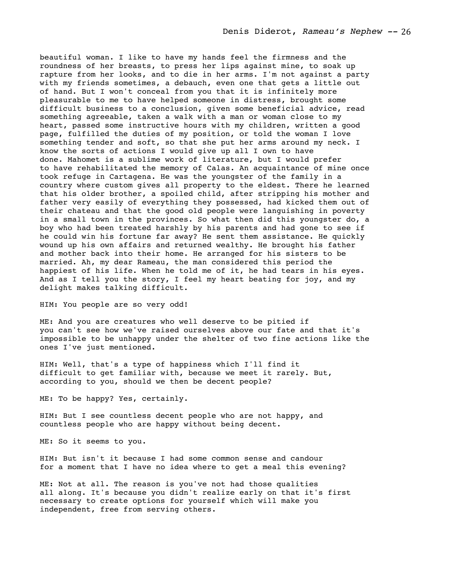beautiful woman. I like to have my hands feel the firmness and the roundness of her breasts, to press her lips against mine, to soak up rapture from her looks, and to die in her arms. I'm not against a party with my friends sometimes, a debauch, even one that gets a little out of hand. But I won't conceal from you that it is infinitely more pleasurable to me to have helped someone in distress, brought some difficult business to a conclusion, given some beneficial advice, read something agreeable, taken a walk with a man or woman close to my heart, passed some instructive hours with my children, written a good page, fulfilled the duties of my position, or told the woman I love something tender and soft, so that she put her arms around my neck. I know the sorts of actions I would give up all I own to have done. Mahomet is a sublime work of literature, but I would prefer to have rehabilitated the memory of Calas. An acquaintance of mine once took refuge in Cartagena. He was the youngster of the family in a country where custom gives all property to the eldest. There he learned that his older brother, a spoiled child, after stripping his mother and father very easily of everything they possessed, had kicked them out of their chateau and that the good old people were languishing in poverty in a small town in the provinces. So what then did this youngster do, a boy who had been treated harshly by his parents and had gone to see if he could win his fortune far away? He sent them assistance. He quickly wound up his own affairs and returned wealthy. He brought his father and mother back into their home. He arranged for his sisters to be married. Ah, my dear Rameau, the man considered this period the happiest of his life. When he told me of it, he had tears in his eyes. And as I tell you the story, I feel my heart beating for joy, and my delight makes talking difficult.

HIM: You people are so very odd!

ME: And you are creatures who well deserve to be pitied if you can't see how we've raised ourselves above our fate and that it's impossible to be unhappy under the shelter of two fine actions like the ones I've just mentioned.

HIM: Well, that's a type of happiness which I'll find it difficult to get familiar with, because we meet it rarely. But, according to you, should we then be decent people?

ME: To be happy? Yes, certainly.

HIM: But I see countless decent people who are not happy, and countless people who are happy without being decent.

ME: So it seems to you.

HIM: But isn't it because I had some common sense and candour for a moment that I have no idea where to get a meal this evening?

ME: Not at all. The reason is you've not had those qualities all along. It's because you didn't realize early on that it's first necessary to create options for yourself which will make you independent, free from serving others.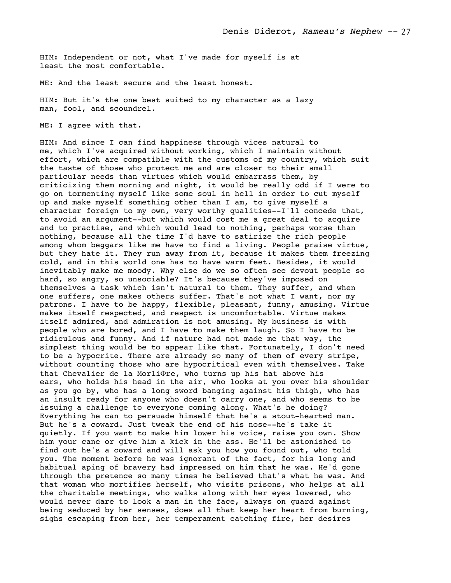HIM: Independent or not, what I've made for myself is at least the most comfortable.

ME: And the least secure and the least honest.

HIM: But it's the one best suited to my character as a lazy man, fool, and scoundrel.

ME: I agree with that.

HIM: And since I can find happiness through vices natural to me, which I've acquired without working, which I maintain without effort, which are compatible with the customs of my country, which suit the taste of those who protect me and are closer to their small particular needs than virtues which would embarrass them, by criticizing them morning and night, it would be really odd if I were to go on tormenting myself like some soul in hell in order to cut myself up and make myself something other than I am, to give myself a character foreign to my own, very worthy qualities--I'll concede that, to avoid an argument--but which would cost me a great deal to acquire and to practise, and which would lead to nothing, perhaps worse than nothing, because all the time I'd have to satirize the rich people among whom beggars like me have to find a living. People praise virtue, but they hate it. They run away from it, because it makes them freezing cold, and in this world one has to have warm feet. Besides, it would inevitably make me moody. Why else do we so often see devout people so hard, so angry, so unsociable? It's because they've imposed on themselves a task which isn't natural to them. They suffer, and when one suffers, one makes others suffer. That's not what I want, nor my patrons. I have to be happy, flexible, pleasant, funny, amusing. Virtue makes itself respected, and respect is uncomfortable. Virtue makes itself admired, and admiration is not amusing. My business is with people who are bored, and I have to make them laugh. So I have to be ridiculous and funny. And if nature had not made me that way, the simplest thing would be to appear like that. Fortunately, I don't need to be a hypocrite. There are already so many of them of every stripe, without counting those who are hypocritical even with themselves. Take that Chevalier de la MorliΦre, who turns up his hat above his ears, who holds his head in the air, who looks at you over his shoulder as you go by, who has a long sword banging against his thigh, who has an insult ready for anyone who doesn't carry one, and who seems to be issuing a challenge to everyone coming along. What's he doing? Everything he can to persuade himself that he's a stout-hearted man. But he's a coward. Just tweak the end of his nose--he's take it quietly. If you want to make him lower his voice, raise you own. Show him your cane or give him a kick in the ass. He'll be astonished to find out he's a coward and will ask you how you found out, who told you. The moment before he was ignorant of the fact, for his long and habitual aping of bravery had impressed on him that he was. He'd gone through the pretence so many times he believed that's what he was. And that woman who mortifies herself, who visits prisons, who helps at all the charitable meetings, who walks along with her eyes lowered, who would never dare to look a man in the face, always on guard against being seduced by her senses, does all that keep her heart from burning, sighs escaping from her, her temperament catching fire, her desires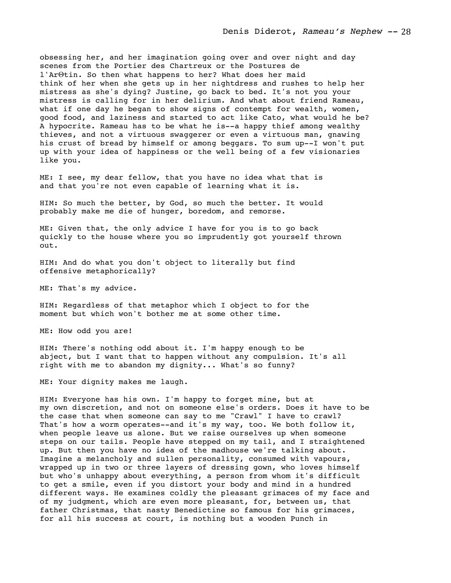obsessing her, and her imagination going over and over night and day scenes from the Portier des Chartreux or the Postures de l'ArΘtin. So then what happens to her? What does her maid think of her when she gets up in her nightdress and rushes to help her mistress as she's dying? Justine, go back to bed. It's not you your mistress is calling for in her delirium. And what about friend Rameau, what if one day he began to show signs of contempt for wealth, women, good food, and laziness and started to act like Cato, what would he be? A hypocrite. Rameau has to be what he is--a happy thief among wealthy thieves, and not a virtuous swaggerer or even a virtuous man, gnawing his crust of bread by himself or among beggars. To sum up--I won't put up with your idea of happiness or the well being of a few visionaries like you.

ME: I see, my dear fellow, that you have no idea what that is and that you're not even capable of learning what it is.

HIM: So much the better, by God, so much the better. It would probably make me die of hunger, boredom, and remorse.

ME: Given that, the only advice I have for you is to go back quickly to the house where you so imprudently got yourself thrown out.

HIM: And do what you don't object to literally but find offensive metaphorically?

ME: That's my advice.

HIM: Regardless of that metaphor which I object to for the moment but which won't bother me at some other time.

ME: How odd you are!

HIM: There's nothing odd about it. I'm happy enough to be abject, but I want that to happen without any compulsion. It's all right with me to abandon my dignity... What's so funny?

ME: Your dignity makes me laugh.

HIM: Everyone has his own. I'm happy to forget mine, but at my own discretion, and not on someone else's orders. Does it have to be the case that when someone can say to me "Crawl" I have to crawl? That's how a worm operates--and it's my way, too. We both follow it, when people leave us alone. But we raise ourselves up when someone steps on our tails. People have stepped on my tail, and I straightened up. But then you have no idea of the madhouse we're talking about. Imagine a melancholy and sullen personality, consumed with vapours, wrapped up in two or three layers of dressing gown, who loves himself but who's unhappy about everything, a person from whom it's difficult to get a smile, even if you distort your body and mind in a hundred different ways. He examines coldly the pleasant grimaces of my face and of my judgment, which are even more pleasant, for, between us, that father Christmas, that nasty Benedictine so famous for his grimaces, for all his success at court, is nothing but a wooden Punch in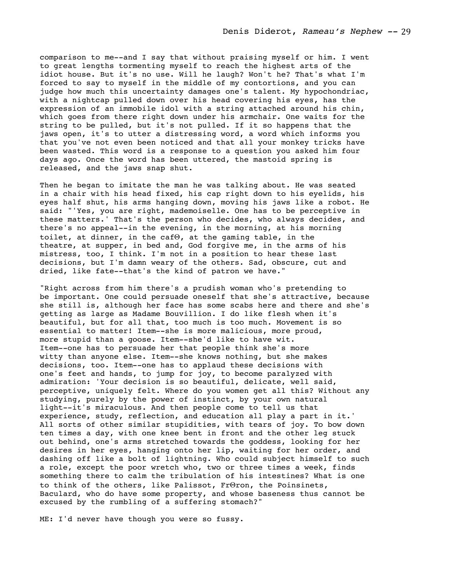comparison to me--and I say that without praising myself or him. I went to great lengths tormenting myself to reach the highest arts of the idiot house. But it's no use. Will he laugh? Won't he? That's what I'm forced to say to myself in the middle of my contortions, and you can judge how much this uncertainty damages one's talent. My hypochondriac, with a nightcap pulled down over his head covering his eyes, has the expression of an immobile idol with a string attached around his chin, which goes from there right down under his armchair. One waits for the string to be pulled, but it's not pulled. If it so happens that the jaws open, it's to utter a distressing word, a word which informs you that you've not even been noticed and that all your monkey tricks have been wasted. This word is a response to a question you asked him four days ago. Once the word has been uttered, the mastoid spring is released, and the jaws snap shut.

Then he began to imitate the man he was talking about. He was seated in a chair with his head fixed, his cap right down to his eyelids, his eyes half shut, his arms hanging down, moving his jaws like a robot. He said: "'Yes, you are right, mademoiselle. One has to be perceptive in these matters.' That's the person who decides, who always decides, and there's no appeal--in the evening, in the morning, at his morning toilet, at dinner, in the cafΘ, at the gaming table, in the theatre, at supper, in bed and, God forgive me, in the arms of his mistress, too, I think. I'm not in a position to hear these last decisions, but I'm damn weary of the others. Sad, obscure, cut and dried, like fate--that's the kind of patron we have."

"Right across from him there's a prudish woman who's pretending to be important. One could persuade oneself that she's attractive, because she still is, although her face has some scabs here and there and she's getting as large as Madame Bouvillion. I do like flesh when it's beautiful, but for all that, too much is too much. Movement is so essential to matter! Item--she is more malicious, more proud, more stupid than a goose. Item--she'd like to have wit. Item--one has to persuade her that people think she's more witty than anyone else. Item--she knows nothing, but she makes decisions, too. Item--one has to applaud these decisions with one's feet and hands, to jump for joy, to become paralyzed with admiration: 'Your decision is so beautiful, delicate, well said, perceptive, uniquely felt. Where do you women get all this? Without any studying, purely by the power of instinct, by your own natural light--it's miraculous. And then people come to tell us that experience, study, reflection, and education all play a part in it.' All sorts of other similar stupidities, with tears of joy. To bow down ten times a day, with one knee bent in front and the other leg stuck out behind, one's arms stretched towards the goddess, looking for her desires in her eyes, hanging onto her lip, waiting for her order, and dashing off like a bolt of lightning. Who could subject himself to such a role, except the poor wretch who, two or three times a week, finds something there to calm the tribulation of his intestines? What is one to think of the others, like Palissot, FrΘron, the Poinsinets, Baculard, who do have some property, and whose baseness thus cannot be excused by the rumbling of a suffering stomach?"

ME: I'd never have though you were so fussy.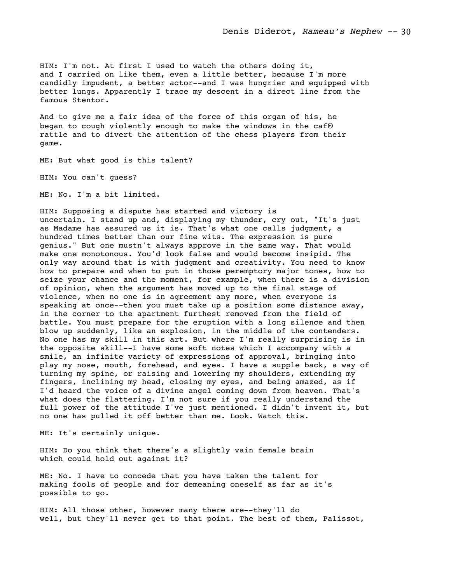HIM: I'm not. At first I used to watch the others doing it, and I carried on like them, even a little better, because I'm more candidly impudent, a better actor--and I was hungrier and equipped with better lungs. Apparently I trace my descent in a direct line from the famous Stentor.

And to give me a fair idea of the force of this organ of his, he began to cough violently enough to make the windows in the cafΘ rattle and to divert the attention of the chess players from their game.

ME: But what good is this talent?

HIM: You can't guess?

ME: No. I'm a bit limited.

HIM: Supposing a dispute has started and victory is uncertain. I stand up and, displaying my thunder, cry out, "It's just as Madame has assured us it is. That's what one calls judgment, a hundred times better than our fine wits. The expression is pure genius." But one mustn't always approve in the same way. That would make one monotonous. You'd look false and would become insipid. The only way around that is with judgment and creativity. You need to know how to prepare and when to put in those peremptory major tones, how to seize your chance and the moment, for example, when there is a division of opinion, when the argument has moved up to the final stage of violence, when no one is in agreement any more, when everyone is speaking at once--then you must take up a position some distance away, in the corner to the apartment furthest removed from the field of battle. You must prepare for the eruption with a long silence and then blow up suddenly, like an explosion, in the middle of the contenders. No one has my skill in this art. But where I'm really surprising is in the opposite skill--I have some soft notes which I accompany with a smile, an infinite variety of expressions of approval, bringing into play my nose, mouth, forehead, and eyes. I have a supple back, a way of turning my spine, or raising and lowering my shoulders, extending my fingers, inclining my head, closing my eyes, and being amazed, as if I'd heard the voice of a divine angel coming down from heaven. That's what does the flattering. I'm not sure if you really understand the full power of the attitude I've just mentioned. I didn't invent it, but no one has pulled it off better than me. Look. Watch this.

ME: It's certainly unique.

HIM: Do you think that there's a slightly vain female brain which could hold out against it?

ME: No. I have to concede that you have taken the talent for making fools of people and for demeaning oneself as far as it's possible to go.

HIM: All those other, however many there are--they'll do well, but they'll never get to that point. The best of them, Palissot,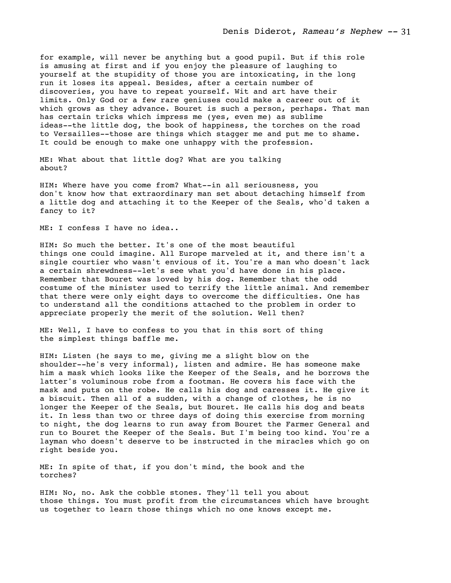for example, will never be anything but a good pupil. But if this role is amusing at first and if you enjoy the pleasure of laughing to yourself at the stupidity of those you are intoxicating, in the long run it loses its appeal. Besides, after a certain number of discoveries, you have to repeat yourself. Wit and art have their limits. Only God or a few rare geniuses could make a career out of it which grows as they advance. Bouret is such a person, perhaps. That man has certain tricks which impress me (yes, even me) as sublime ideas--the little dog, the book of happiness, the torches on the road to Versailles--those are things which stagger me and put me to shame. It could be enough to make one unhappy with the profession.

ME: What about that little dog? What are you talking about?

HIM: Where have you come from? What--in all seriousness, you don't know how that extraordinary man set about detaching himself from a little dog and attaching it to the Keeper of the Seals, who'd taken a fancy to it?

ME: I confess I have no idea..

HIM: So much the better. It's one of the most beautiful things one could imagine. All Europe marveled at it, and there isn't a single courtier who wasn't envious of it. You're a man who doesn't lack a certain shrewdness--let's see what you'd have done in his place. Remember that Bouret was loved by his dog. Remember that the odd costume of the minister used to terrify the little animal. And remember that there were only eight days to overcome the difficulties. One has to understand all the conditions attached to the problem in order to appreciate properly the merit of the solution. Well then?

ME: Well, I have to confess to you that in this sort of thing the simplest things baffle me.

HIM: Listen (he says to me, giving me a slight blow on the shoulder--he's very informal), listen and admire. He has someone make him a mask which looks like the Keeper of the Seals, and he borrows the latter's voluminous robe from a footman. He covers his face with the mask and puts on the robe. He calls his dog and caresses it. He give it a biscuit. Then all of a sudden, with a change of clothes, he is no longer the Keeper of the Seals, but Bouret. He calls his dog and beats it. In less than two or three days of doing this exercise from morning to night, the dog learns to run away from Bouret the Farmer General and run to Bouret the Keeper of the Seals. But I'm being too kind. You're a layman who doesn't deserve to be instructed in the miracles which go on right beside you.

ME: In spite of that, if you don't mind, the book and the torches?

HIM: No, no. Ask the cobble stones. They'll tell you about those things. You must profit from the circumstances which have brought us together to learn those things which no one knows except me.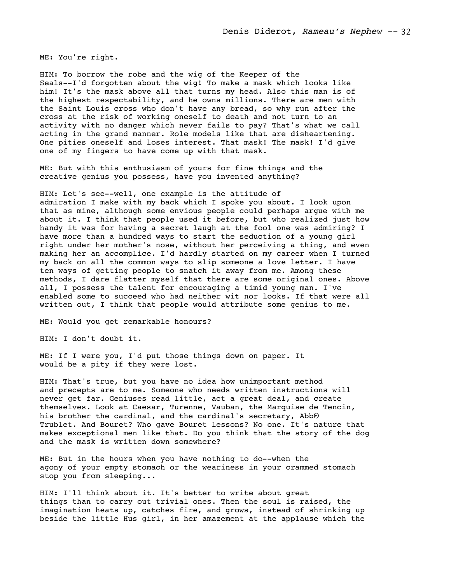ME: You're right.

HIM: To borrow the robe and the wig of the Keeper of the Seals--I'd forgotten about the wig! To make a mask which looks like him! It's the mask above all that turns my head. Also this man is of the highest respectability, and he owns millions. There are men with the Saint Louis cross who don't have any bread, so why run after the cross at the risk of working oneself to death and not turn to an activity with no danger which never fails to pay? That's what we call acting in the grand manner. Role models like that are disheartening. One pities oneself and loses interest. That mask! The mask! I'd give one of my fingers to have come up with that mask.

ME: But with this enthusiasm of yours for fine things and the creative genius you possess, have you invented anything?

HIM: Let's see--well, one example is the attitude of admiration I make with my back which I spoke you about. I look upon that as mine, although some envious people could perhaps argue with me about it. I think that people used it before, but who realized just how handy it was for having a secret laugh at the fool one was admiring? I have more than a hundred ways to start the seduction of a young girl right under her mother's nose, without her perceiving a thing, and even making her an accomplice. I'd hardly started on my career when I turned my back on all the common ways to slip someone a love letter. I have ten ways of getting people to snatch it away from me. Among these methods, I dare flatter myself that there are some original ones. Above all, I possess the talent for encouraging a timid young man. I've enabled some to succeed who had neither wit nor looks. If that were all written out, I think that people would attribute some genius to me.

ME: Would you get remarkable honours?

HIM: I don't doubt it.

ME: If I were you, I'd put those things down on paper. It would be a pity if they were lost.

HIM: That's true, but you have no idea how unimportant method and precepts are to me. Someone who needs written instructions will never get far. Geniuses read little, act a great deal, and create themselves. Look at Caesar, Turenne, Vauban, the Marquise de Tencin, his brother the cardinal, and the cardinal's secretary, Abb $\Theta$ Trublet. And Bouret? Who gave Bouret lessons? No one. It's nature that makes exceptional men like that. Do you think that the story of the dog and the mask is written down somewhere?

ME: But in the hours when you have nothing to do--when the agony of your empty stomach or the weariness in your crammed stomach stop you from sleeping...

HIM: I'll think about it. It's better to write about great things than to carry out trivial ones. Then the soul is raised, the imagination heats up, catches fire, and grows, instead of shrinking up beside the little Hus girl, in her amazement at the applause which the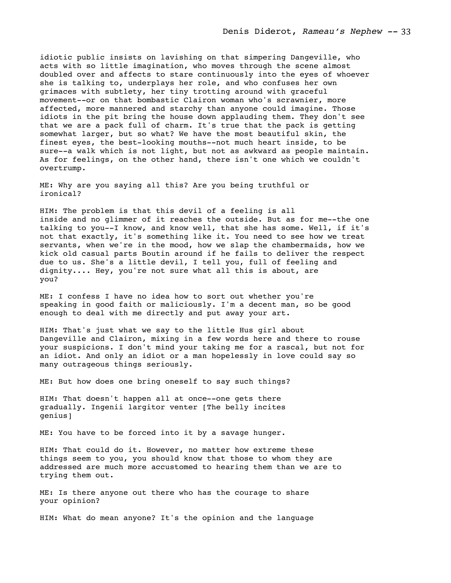idiotic public insists on lavishing on that simpering Dangeville, who acts with so little imagination, who moves through the scene almost doubled over and affects to stare continuously into the eyes of whoever she is talking to, underplays her role, and who confuses her own grimaces with subtlety, her tiny trotting around with graceful movement--or on that bombastic Clairon woman who's scrawnier, more affected, more mannered and starchy than anyone could imagine. Those idiots in the pit bring the house down applauding them. They don't see that we are a pack full of charm. It's true that the pack is getting somewhat larger, but so what? We have the most beautiful skin, the finest eyes, the best-looking mouths--not much heart inside, to be sure--a walk which is not light, but not as awkward as people maintain. As for feelings, on the other hand, there isn't one which we couldn't overtrump.

ME: Why are you saying all this? Are you being truthful or ironical?

HIM: The problem is that this devil of a feeling is all inside and no glimmer of it reaches the outside. But as for me--the one talking to you--I know, and know well, that she has some. Well, if it's not that exactly, it's something like it. You need to see how we treat servants, when we're in the mood, how we slap the chambermaids, how we kick old casual parts Boutin around if he fails to deliver the respect due to us. She's a little devil, I tell you, full of feeling and dignity.... Hey, you're not sure what all this is about, are you?

ME: I confess I have no idea how to sort out whether you're speaking in good faith or maliciously. I'm a decent man, so be good enough to deal with me directly and put away your art.

HIM: That's just what we say to the little Hus girl about Dangeville and Clairon, mixing in a few words here and there to rouse your suspicions. I don't mind your taking me for a rascal, but not for an idiot. And only an idiot or a man hopelessly in love could say so many outrageous things seriously.

ME: But how does one bring oneself to say such things?

HIM: That doesn't happen all at once--one gets there gradually. Ingenii largitor venter [The belly incites genius]

ME: You have to be forced into it by a savage hunger.

HIM: That could do it. However, no matter how extreme these things seem to you, you should know that those to whom they are addressed are much more accustomed to hearing them than we are to trying them out.

ME: Is there anyone out there who has the courage to share your opinion?

HIM: What do mean anyone? It's the opinion and the language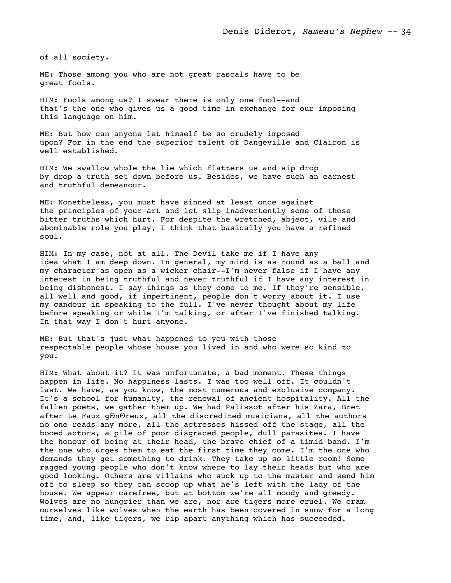of all society.

ME: Those among you who are not great rascals have to be great fools.

HIM: Fools among us? I swear there is only one fool--and that's the one who gives us a good time in exchange for our imposing this language on him.

ME: But how can anyone let himself be so crudely imposed upon? For in the end the superior talent of Dangeville and Clairon is well established.

HIM: We swallow whole the lie which flatters us and sip drop by drop a truth set down before us. Besides, we have such an earnest and truthful demeanour.

ME: Nonetheless, you must have sinned at least once against the principles of your art and let slip inadvertently some of those bitter truths which hurt. For despite the wretched, abject, vile and abominable role you play, I think that basically you have a refined soul.

HIM: In my case, not at all. The Devil take me if I have any idea what I am deep down. In general, my mind is as round as a ball and my character as open as a wicker chair--I'm never false if I have any interest in being truthful and never truthful if I have any interest in being dishonest. I say things as they come to me. If they're sensible, all well and good, if impertinent, people don't worry about it. I use my candour in speaking to the full. I've never thought about my life before speaking or while I'm talking, or after I've finished talking. In that way I don't hurt anyone.

ME: But that's just what happened to you with those respectable people whose house you lived in and who were so kind to you.

HIM: What about it? It was unfortunate, a bad moment. These things happen in life. No happiness lasts. I was too well off. It couldn't last. We have, as you know, the most numerous and exclusive company. It's a school for humanity, the renewal of ancient hospitality. All the fallen poets, we gather them up. We had Palissot after his Zara, Bret after Le Faux gΘnΘreux, all the discredited musicians, all the authors no one reads any more, all the actresses hissed off the stage, all the booed actors, a pile of poor disgraced people, dull parasites. I have the honour of being at their head, the brave chief of a timid band. I'm the one who urges them to eat the first time they come. I'm the one who demands they get something to drink. They take up so little room! Some ragged young people who don't know where to lay their heads but who are good looking. Others are villains who suck up to the master and send him off to sleep so they can scoop up what he's left with the lady of the house. We appear carefree, but at bottom we're all moody and greedy. Wolves are no hungrier than we are, nor are tigers more cruel. We cram ourselves like wolves when the earth has been covered in snow for a long time, and, like tigers, we rip apart anything which has succeeded.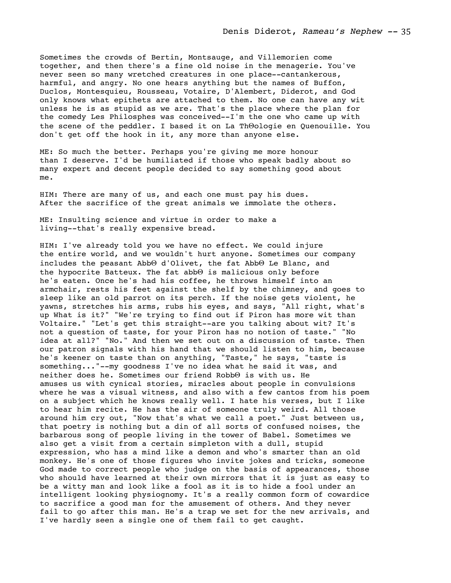Sometimes the crowds of Bertin, Montsauge, and Villemorien come together, and then there's a fine old noise in the menagerie. You've never seen so many wretched creatures in one place--cantankerous, harmful, and angry. No one hears anything but the names of Buffon, Duclos, Montesquieu, Rousseau, Votaire, D'Alembert, Diderot, and God only knows what epithets are attached to them. No one can have any wit unless he is as stupid as we are. That's the place where the plan for the comedy Les Philosphes was conceived--I'm the one who came up with the scene of the peddler. I based it on La ThΘologie en Quenouille. You don't get off the hook in it, any more than anyone else.

ME: So much the better. Perhaps you're giving me more honour than I deserve. I'd be humiliated if those who speak badly about so many expert and decent people decided to say something good about me.

HIM: There are many of us, and each one must pay his dues. After the sacrifice of the great animals we immolate the others.

ME: Insulting science and virtue in order to make a living--that's really expensive bread.

HIM: I've already told you we have no effect. We could injure the entire world, and we wouldn't hurt anyone. Sometimes our company includes the peasant AbbΘ d'Olivet, the fat AbbΘ Le Blanc, and the hypocrite Batteux. The fat abbΘ is malicious only before he's eaten. Once he's had his coffee, he throws himself into an armchair, rests his feet against the shelf by the chimney, and goes to sleep like an old parrot on its perch. If the noise gets violent, he yawns, stretches his arms, rubs his eyes, and says, "All right, what's up What is it?" "We're trying to find out if Piron has more wit than Voltaire." "Let's get this straight--are you talking about wit? It's not a question of taste, for your Piron has no notion of taste." "No idea at all?" "No." And then we set out on a discussion of taste. Then our patron signals with his hand that we should listen to him, because he's keener on taste than on anything, "Taste," he says, "taste is something..."--my goodness I've no idea what he said it was, and neither does he. Sometimes our friend RobbΘ is with us. He amuses us with cynical stories, miracles about people in convulsions where he was a visual witness, and also with a few cantos from his poem on a subject which he knows really well. I hate his verses, but I like to hear him recite. He has the air of someone truly weird. All those around him cry out, "Now that's what we call a poet." Just between us, that poetry is nothing but a din of all sorts of confused noises, the barbarous song of people living in the tower of Babel. Sometimes we also get a visit from a certain simpleton with a dull, stupid expression, who has a mind like a demon and who's smarter than an old monkey. He's one of those figures who invite jokes and tricks, someone God made to correct people who judge on the basis of appearances, those who should have learned at their own mirrors that it is just as easy to be a witty man and look like a fool as it is to hide a fool under an intelligent looking physiognomy. It's a really common form of cowardice to sacrifice a good man for the amusement of others. And they never fail to go after this man. He's a trap we set for the new arrivals, and I've hardly seen a single one of them fail to get caught.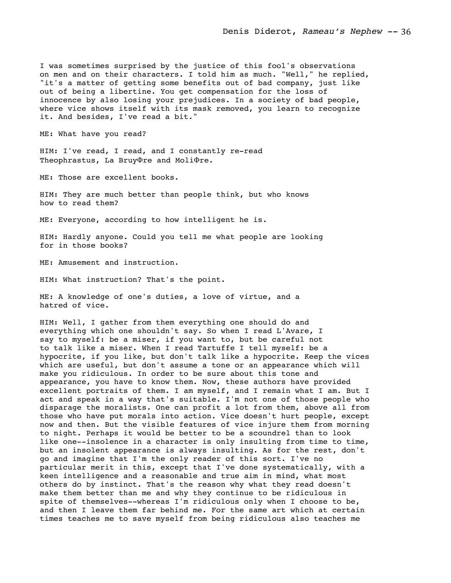I was sometimes surprised by the justice of this fool's observations on men and on their characters. I told him as much. "Well," he replied, "it's a matter of getting some benefits out of bad company, just like out of being a libertine. You get compensation for the loss of innocence by also losing your prejudices. In a society of bad people, where vice shows itself with its mask removed, you learn to recognize it. And besides, I've read a bit."

ME: What have you read?

HIM: I've read, I read, and I constantly re-read Theophrastus, La BruyΦre and MoliΦre.

ME: Those are excellent books.

HIM: They are much better than people think, but who knows how to read them?

ME: Everyone, according to how intelligent he is.

HIM: Hardly anyone. Could you tell me what people are looking for in those books?

ME: Amusement and instruction.

HIM: What instruction? That's the point.

ME: A knowledge of one's duties, a love of virtue, and a hatred of vice.

HIM: Well, I gather from them everything one should do and everything which one shouldn't say. So when I read L'Avare, I say to myself: be a miser, if you want to, but be careful not to talk like a miser. When I read Tartuffe I tell myself: be a hypocrite, if you like, but don't talk like a hypocrite. Keep the vices which are useful, but don't assume a tone or an appearance which will make you ridiculous. In order to be sure about this tone and appearance, you have to know them. Now, these authors have provided excellent portraits of them. I am myself, and I remain what I am. But I act and speak in a way that's suitable. I'm not one of those people who disparage the moralists. One can profit a lot from them, above all from those who have put morals into action. Vice doesn't hurt people, except now and then. But the visible features of vice injure them from morning to night. Perhaps it would be better to be a scoundrel than to look like one--insolence in a character is only insulting from time to time, but an insolent appearance is always insulting. As for the rest, don't go and imagine that I'm the only reader of this sort. I've no particular merit in this, except that I've done systematically, with a keen intelligence and a reasonable and true aim in mind, what most others do by instinct. That's the reason why what they read doesn't make them better than me and why they continue to be ridiculous in spite of themselves--whereas I'm ridiculous only when I choose to be, and then I leave them far behind me. For the same art which at certain times teaches me to save myself from being ridiculous also teaches me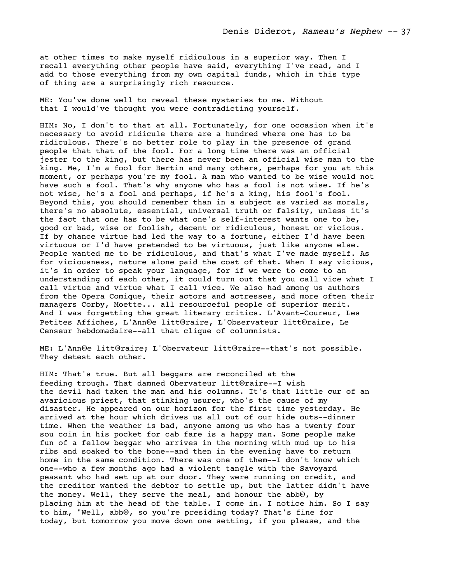at other times to make myself ridiculous in a superior way. Then I recall everything other people have said, everything I've read, and I add to those everything from my own capital funds, which in this type of thing are a surprisingly rich resource.

ME: You've done well to reveal these mysteries to me. Without that I would've thought you were contradicting yourself.

HIM: No, I don't to that at all. Fortunately, for one occasion when it's necessary to avoid ridicule there are a hundred where one has to be ridiculous. There's no better role to play in the presence of grand people that that of the fool. For a long time there was an official jester to the king, but there has never been an official wise man to the king. Me, I'm a fool for Bertin and many others, perhaps for you at this moment, or perhaps you're my fool. A man who wanted to be wise would not have such a fool. That's why anyone who has a fool is not wise. If he's not wise, he's a fool and perhaps, if he's a king, his fool's fool. Beyond this, you should remember than in a subject as varied as morals, there's no absolute, essential, universal truth or falsity, unless it's the fact that one has to be what one's self-interest wants one to be, good or bad, wise or foolish, decent or ridiculous, honest or vicious. If by chance virtue had led the way to a fortune, either I'd have been virtuous or I'd have pretended to be virtuous, just like anyone else. People wanted me to be ridiculous, and that's what I've made myself. As for viciousness, nature alone paid the cost of that. When I say vicious, it's in order to speak your language, for if we were to come to an understanding of each other, it could turn out that you call vice what I call virtue and virtue what I call vice. We also had among us authors from the Opera Comique, their actors and actresses, and more often their managers Corby, Moette... all resourceful people of superior merit. And I was forgetting the great literary critics. L'Avant-Coureur, Les Petites Affiches, L'AnnΘe littΘraire, L'Observateur littΘraire, Le Censeur hebdomadaire--all that clique of columnists.

ME: L'AnnΘe littΘraire; L'Obervateur littΘraire--that's not possible. They detest each other.

HIM: That's true. But all beggars are reconciled at the feeding trough. That damned Obervateur littΘraire--I wish the devil had taken the man and his columns. It's that little cur of an avaricious priest, that stinking usurer, who's the cause of my disaster. He appeared on our horizon for the first time yesterday. He arrived at the hour which drives us all out of our hide outs--dinner time. When the weather is bad, anyone among us who has a twenty four sou coin in his pocket for cab fare is a happy man. Some people make fun of a fellow beggar who arrives in the morning with mud up to his ribs and soaked to the bone--and then in the evening have to return home in the same condition. There was one of them--I don't know which one--who a few months ago had a violent tangle with the Savoyard peasant who had set up at our door. They were running on credit, and the creditor wanted the debtor to settle up, but the latter didn't have the money. Well, they serve the meal, and honour the abbΘ, by placing him at the head of the table. I come in. I notice him. So I say to him, "Well, abbΘ, so you're presiding today? That's fine for today, but tomorrow you move down one setting, if you please, and the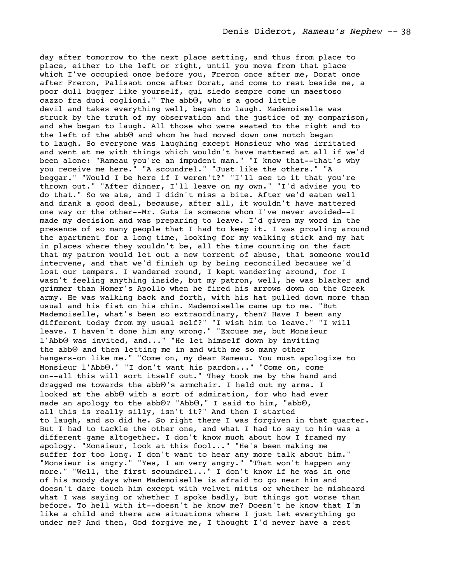day after tomorrow to the next place setting, and thus from place to place, either to the left or right, until you move from that place which I've occupied once before you, Freron once after me, Dorat once after Freron, Palissot once after Dorat, and come to rest beside me, a poor dull bugger like yourself, qui siedo sempre come un maestoso cazzo fra duoi coglioni." The abbΘ, who's a good little devil and takes everything well, began to laugh. Mademoiselle was struck by the truth of my observation and the justice of my comparison, and she began to laugh. All those who were seated to the right and to the left of the abbΘ and whom he had moved down one notch began to laugh. So everyone was laughing except Monsieur who was irritated and went at me with things which wouldn't have mattered at all if we'd been alone: "Rameau you're an impudent man." "I know that--that's why you receive me here." "A scoundrel." "Just like the others." "A beggar." "Would I be here if I weren't?" "I'll see to it that you're thrown out." "After dinner, I'll leave on my own." "I'd advise you to do that." So we ate, and I didn't miss a bite. After we'd eaten well and drank a good deal, because, after all, it wouldn't have mattered one way or the other--Mr. Guts is someone whom I've never avoided--I made my decision and was preparing to leave. I'd given my word in the presence of so many people that I had to keep it. I was prowling around the apartment for a long time, looking for my walking stick and my hat in places where they wouldn't be, all the time counting on the fact that my patron would let out a new torrent of abuse, that someone would intervene, and that we'd finish up by being reconciled because we'd lost our tempers. I wandered round, I kept wandering around, for I wasn't feeling anything inside, but my patron, well, he was blacker and grimmer than Homer's Apollo when he fired his arrows down on the Greek army. He was walking back and forth, with his hat pulled down more than usual and his fist on his chin. Mademoiselle came up to me. "But Mademoiselle, what's been so extraordinary, then? Have I been any different today from my usual self?" "I wish him to leave." "I will leave. I haven't done him any wrong." "Excuse me, but Monsieur l'AbbΘ was invited, and..." "He let himself down by inviting the abbΘ and then letting me in and with me so many other hangers-on like me." "Come on, my dear Rameau. You must apologize to Monsieur l'AbbΘ." "I don't want his pardon..." "Come on, come on--all this will sort itself out." They took me by the hand and dragged me towards the abbΘ's armchair. I held out my arms. I looked at the abbΘ with a sort of admiration, for who had ever made an apology to the abbΘ? "AbbΘ," I said to him, "abbΘ, all this is really silly, isn't it?" And then I started to laugh, and so did he. So right there I was forgiven in that quarter. But I had to tackle the other one, and what I had to say to him was a different game altogether. I don't know much about how I framed my apology. "Monsieur, look at this fool..." "He's been making me suffer for too long. I don't want to hear any more talk about him." "Monsieur is angry." "Yes, I am very angry." "That won't happen any more." "Well, the first scoundrel..." I don't know if he was in one of his moody days when Mademoiselle is afraid to go near him and doesn't dare touch him except with velvet mitts or whether he misheard what I was saying or whether I spoke badly, but things got worse than before. To hell with it--doesn't he know me? Doesn't he know that I'm like a child and there are situations where I just let everything go under me? And then, God forgive me, I thought I'd never have a rest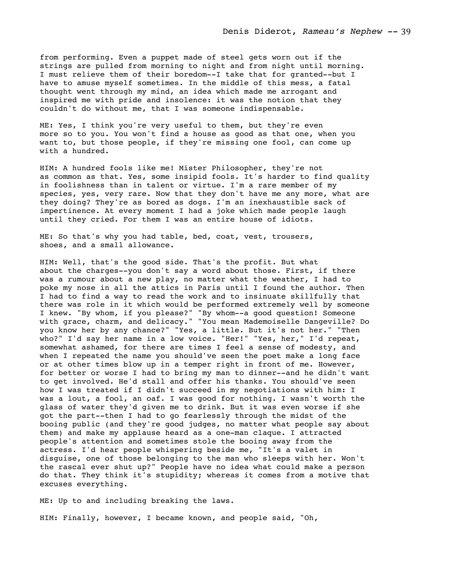from performing. Even a puppet made of steel gets worn out if the strings are pulled from morning to night and from night until morning. I must relieve them of their boredom--I take that for granted--but I have to amuse myself sometimes. In the middle of this mess, a fatal thought went through my mind, an idea which made me arrogant and inspired me with pride and insolence: it was the notion that they couldn't do without me, that I was someone indispensable.

ME: Yes, I think you're very useful to them, but they're even more so to you. You won't find a house as good as that one, when you want to, but those people, if they're missing one fool, can come up with a hundred.

HIM: A hundred fools like me! Mister Philosopher, they're not as common as that. Yes, some insipid fools. It's harder to find quality in foolishness than in talent or virtue. I'm a rare member of my species, yes, very rare. Now that they don't have me any more, what are they doing? They're as bored as dogs. I'm an inexhaustible sack of impertinence. At every moment I had a joke which made people laugh until they cried. For them I was an entire house of idiots.

ME: So that's why you had table, bed, coat, vest, trousers, shoes, and a small allowance.

HIM: Well, that's the good side. That's the profit. But what about the charges--you don't say a word about those. First, if there was a rumour about a new play, no matter what the weather, I had to poke my nose in all the attics in Paris until I found the author. Then I had to find a way to read the work and to insinuate skillfully that there was role in it which would be performed extremely well by someone I knew. "By whom, if you please?" "By whom--a good question! Someone with grace, charm, and delicacy." "You mean Mademoiselle Dangeville? Do you know her by any chance?" "Yes, a little. But it's not her." "Then who?" I'd say her name in a low voice. "Her!" "Yes, her," I'd repeat, somewhat ashamed, for there are times I feel a sense of modesty, and when I repeated the name you should've seen the poet make a long face or at other times blow up in a temper right in front of me. However, for better or worse I had to bring my man to dinner--and he didn't want to get involved. He'd stall and offer his thanks. You should've seen how I was treated if I didn't succeed in my negotiations with him: I was a lout, a fool, an oaf. I was good for nothing. I wasn't worth the glass of water they'd given me to drink. But it was even worse if she got the part--then I had to go fearlessly through the midst of the booing public (and they're good judges, no matter what people say about them) and make my applause heard as a one-man claque. I attracted people's attention and sometimes stole the booing away from the actress. I'd hear people whispering beside me, "It's a valet in disguise, one of those belonging to the man who sleeps with her. Won't the rascal ever shut up?" People have no idea what could make a person do that. They think it's stupidity; whereas it comes from a motive that excuses everything.

ME: Up to and including breaking the laws.

HIM: Finally, however, I became known, and people said, "Oh,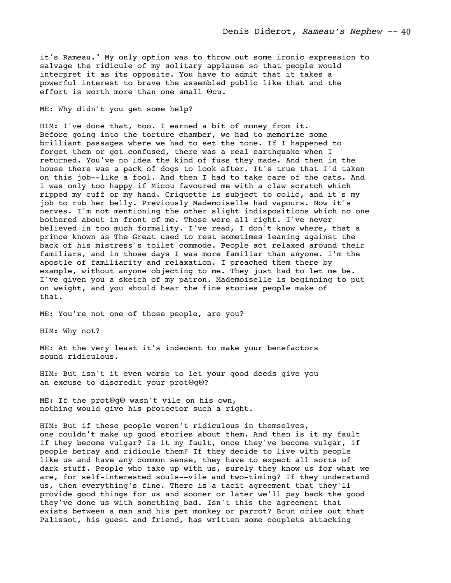it's Rameau." My only option was to throw out some ironic expression to salvage the ridicule of my solitary applause so that people would interpret it as its opposite. You have to admit that it takes a powerful interest to brave the assembled public like that and the effort is worth more than one small Θcu.

## ME: Why didn't you get some help?

HIM: I've done that, too. I earned a bit of money from it. Before going into the torture chamber, we had to memorize some brilliant passages where we had to set the tone. If I happened to forget them or got confused, there was a real earthquake when I returned. You've no idea the kind of fuss they made. And then in the house there was a pack of dogs to look after. It's true that I'd taken on this job--like a fool. And then I had to take care of the cats. And I was only too happy if Micou favoured me with a claw scratch which ripped my cuff or my hand. Criquette is subject to colic, and it's my job to rub her belly. Previously Mademoiselle had vapours. Now it's nerves. I'm not mentioning the other slight indispositions which no one bothered about in front of me. Those were all right. I've never believed in too much formality. I've read, I don't know where, that a prince known as The Great used to rest sometimes leaning against the back of his mistress's toilet commode. People act relaxed around their familiars, and in those days I was more familiar than anyone. I'm the apostle of familiarity and relaxation. I preached them there by example, without anyone objecting to me. They just had to let me be. I've given you a sketch of my patron. Mademoiselle is beginning to put on weight, and you should hear the fine stories people make of that.

ME: You're not one of those people, are you?

HIM: Why not?

ME: At the very least it's indecent to make your benefactors sound ridiculous.

HIM: But isn't it even worse to let your good deeds give you an excuse to discredit your protΘgΘ?

ME: If the protΘgΘ wasn't vile on his own, nothing would give his protector such a right.

HIM: But if these people weren't ridiculous in themselves, one couldn't make up good stories about them. And then is it my fault if they become vulgar? Is it my fault, once they've become vulgar, if people betray and ridicule them? If they decide to live with people like us and have any common sense, they have to expect all sorts of dark stuff. People who take up with us, surely they know us for what we are, for self-interested souls--vile and two-timing? If they understand us, then everything's fine. There is a tacit agreement that they'll provide good things for us and sooner or later we'll pay back the good they've done us with something bad. Isn't this the agreement that exists between a man and his pet monkey or parrot? Brun cries out that Palissot, his guest and friend, has written some couplets attacking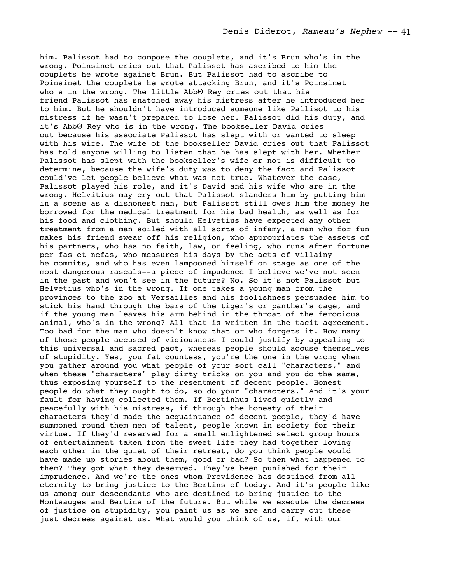him. Palissot had to compose the couplets, and it's Brun who's in the wrong. Poinsinet cries out that Palissot has ascribed to him the couplets he wrote against Brun. But Palissot had to ascribe to Poinsinet the couplets he wrote attacking Brun, and it's Poinsinet who's in the wrong. The little AbbΘ Rey cries out that his friend Palissot has snatched away his mistress after he introduced her to him. But he shouldn't have introduced someone like Pallisot to his mistress if he wasn't prepared to lose her. Palissot did his duty, and it's AbbΘ Rey who is in the wrong. The bookseller David cries out because his associate Palissot has slept with or wanted to sleep with his wife. The wife of the bookseller David cries out that Palissot has told anyone willing to listen that he has slept with her. Whether Palissot has slept with the bookseller's wife or not is difficult to determine, because the wife's duty was to deny the fact and Palissot could've let people believe what was not true. Whatever the case, Palissot played his role, and it's David and his wife who are in the wrong. Helvitius may cry out that Palissot slanders him by putting him in a scene as a dishonest man, but Palissot still owes him the money he borrowed for the medical treatment for his bad health, as well as for his food and clothing. But should Helvetius have expected any other treatment from a man soiled with all sorts of infamy, a man who for fun makes his friend swear off his religion, who appropriates the assets of his partners, who has no faith, law, or feeling, who runs after fortune per fas et nefas, who measures his days by the acts of villainy he commits, and who has even lampooned himself on stage as one of the most dangerous rascals--a piece of impudence I believe we've not seen in the past and won't see in the future? No. So it's not Palissot but Helvetius who's in the wrong. If one takes a young man from the provinces to the zoo at Versailles and his foolishness persuades him to stick his hand through the bars of the tiger's or panther's cage, and if the young man leaves his arm behind in the throat of the ferocious animal, who's in the wrong? All that is written in the tacit agreement. Too bad for the man who doesn't know that or who forgets it. How many of those people accused of viciousness I could justify by appealing to this universal and sacred pact, whereas people should accuse themselves of stupidity. Yes, you fat countess, you're the one in the wrong when you gather around you what people of your sort call "characters," and when these "characters" play dirty tricks on you and you do the same, thus exposing yourself to the resentment of decent people. Honest people do what they ought to do, so do your "characters." And it's your fault for having collected them. If Bertinhus lived quietly and peacefully with his mistress, if through the honesty of their characters they'd made the acquaintance of decent people, they'd have summoned round them men of talent, people known in society for their virtue. If they'd reserved for a small enlightened select group hours of entertainment taken from the sweet life they had together loving each other in the quiet of their retreat, do you think people would have made up stories about them, good or bad? So then what happened to them? They got what they deserved. They've been punished for their imprudence. And we're the ones whom Providence has destined from all eternity to bring justice to the Bertins of today. And it's people like us among our descendants who are destined to bring justice to the Montsauges and Bertins of the future. But while we execute the decrees of justice on stupidity, you paint us as we are and carry out these just decrees against us. What would you think of us, if, with our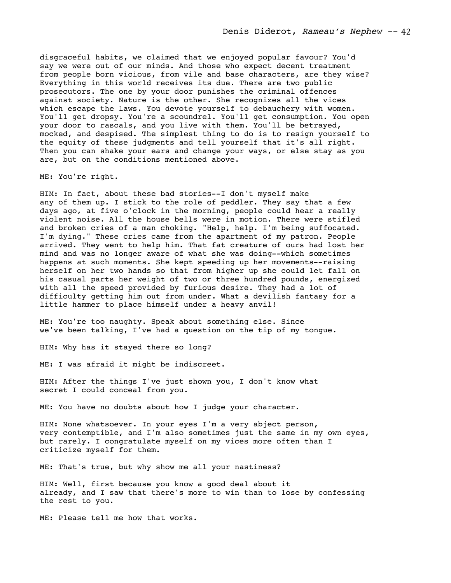disgraceful habits, we claimed that we enjoyed popular favour? You'd say we were out of our minds. And those who expect decent treatment from people born vicious, from vile and base characters, are they wise? Everything in this world receives its due. There are two public prosecutors. The one by your door punishes the criminal offences against society. Nature is the other. She recognizes all the vices which escape the laws. You devote yourself to debauchery with women. You'll get dropsy. You're a scoundrel. You'll get consumption. You open your door to rascals, and you live with them. You'll be betrayed, mocked, and despised. The simplest thing to do is to resign yourself to the equity of these judgments and tell yourself that it's all right. Then you can shake your ears and change your ways, or else stay as you are, but on the conditions mentioned above.

ME: You're right.

HIM: In fact, about these bad stories--I don't myself make any of them up. I stick to the role of peddler. They say that a few days ago, at five o'clock in the morning, people could hear a really violent noise. All the house bells were in motion. There were stifled and broken cries of a man choking. "Help, help. I'm being suffocated. I'm dying." These cries came from the apartment of my patron. People arrived. They went to help him. That fat creature of ours had lost her mind and was no longer aware of what she was doing--which sometimes happens at such moments. She kept speeding up her movements--raising herself on her two hands so that from higher up she could let fall on his casual parts her weight of two or three hundred pounds, energized with all the speed provided by furious desire. They had a lot of difficulty getting him out from under. What a devilish fantasy for a little hammer to place himself under a heavy anvil!

ME: You're too naughty. Speak about something else. Since we've been talking, I've had a question on the tip of my tongue.

HIM: Why has it stayed there so long?

ME: I was afraid it might be indiscreet.

HIM: After the things I've just shown you, I don't know what secret I could conceal from you.

ME: You have no doubts about how I judge your character.

HIM: None whatsoever. In your eyes I'm a very abject person, very contemptible, and I'm also sometimes just the same in my own eyes, but rarely. I congratulate myself on my vices more often than I criticize myself for them.

ME: That's true, but why show me all your nastiness?

HIM: Well, first because you know a good deal about it already, and I saw that there's more to win than to lose by confessing the rest to you.

ME: Please tell me how that works.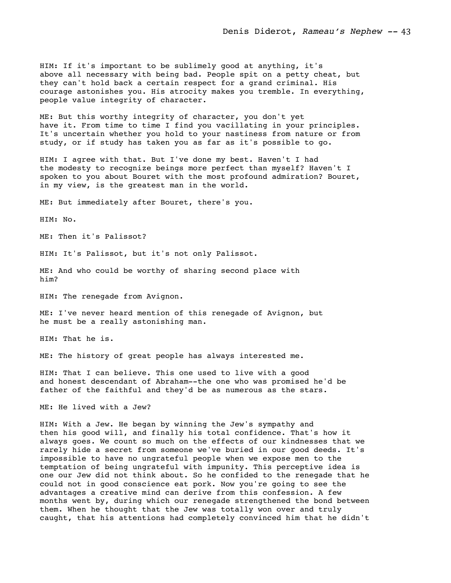HIM: If it's important to be sublimely good at anything, it's above all necessary with being bad. People spit on a petty cheat, but they can't hold back a certain respect for a grand criminal. His courage astonishes you. His atrocity makes you tremble. In everything, people value integrity of character.

ME: But this worthy integrity of character, you don't yet have it. From time to time I find you vacillating in your principles. It's uncertain whether you hold to your nastiness from nature or from study, or if study has taken you as far as it's possible to go.

HIM: I agree with that. But I've done my best. Haven't I had the modesty to recognize beings more perfect than myself? Haven't I spoken to you about Bouret with the most profound admiration? Bouret, in my view, is the greatest man in the world.

ME: But immediately after Bouret, there's you.

HIM: No.

ME: Then it's Palissot?

HIM: It's Palissot, but it's not only Palissot.

ME: And who could be worthy of sharing second place with him?

HIM: The renegade from Avignon.

ME: I've never heard mention of this renegade of Avignon, but he must be a really astonishing man.

HIM: That he is.

ME: The history of great people has always interested me.

HIM: That I can believe. This one used to live with a good and honest descendant of Abraham--the one who was promised he'd be father of the faithful and they'd be as numerous as the stars.

ME: He lived with a Jew?

HIM: With a Jew. He began by winning the Jew's sympathy and then his good will, and finally his total confidence. That's how it always goes. We count so much on the effects of our kindnesses that we rarely hide a secret from someone we've buried in our good deeds. It's impossible to have no ungrateful people when we expose men to the temptation of being ungrateful with impunity. This perceptive idea is one our Jew did not think about. So he confided to the renegade that he could not in good conscience eat pork. Now you're going to see the advantages a creative mind can derive from this confession. A few months went by, during which our renegade strengthened the bond between them. When he thought that the Jew was totally won over and truly caught, that his attentions had completely convinced him that he didn't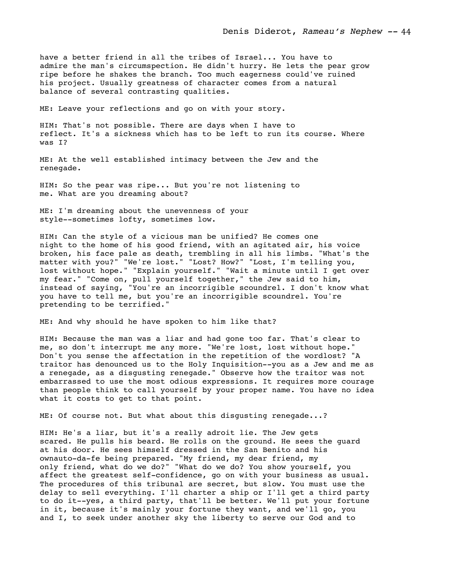have a better friend in all the tribes of Israel... You have to admire the man's circumspection. He didn't hurry. He lets the pear grow ripe before he shakes the branch. Too much eagerness could've ruined his project. Usually greatness of character comes from a natural balance of several contrasting qualities.

ME: Leave your reflections and go on with your story.

HIM: That's not possible. There are days when I have to reflect. It's a sickness which has to be left to run its course. Where was I?

ME: At the well established intimacy between the Jew and the renegade.

HIM: So the pear was ripe... But you're not listening to me. What are you dreaming about?

ME: I'm dreaming about the unevenness of your style--sometimes lofty, sometimes low.

HIM: Can the style of a vicious man be unified? He comes one night to the home of his good friend, with an agitated air, his voice broken, his face pale as death, trembling in all his limbs. "What's the matter with you?" "We're lost." "Lost? How?" "Lost, I'm telling you, lost without hope." "Explain yourself." "Wait a minute until I get over my fear." "Come on, pull yourself together," the Jew said to him, instead of saying, "You're an incorrigible scoundrel. I don't know what you have to tell me, but you're an incorrigible scoundrel. You're pretending to be terrified."

ME: And why should he have spoken to him like that?

HIM: Because the man was a liar and had gone too far. That's clear to me, so don't interrupt me any more. "We're lost, lost without hope." Don't you sense the affectation in the repetition of the wordlost? "A traitor has denounced us to the Holy Inquisition--you as a Jew and me as a renegade, as a disgusting renegade." Observe how the traitor was not embarrassed to use the most odious expressions. It requires more courage than people think to call yourself by your proper name. You have no idea what it costs to get to that point.

ME: Of course not. But what about this disgusting renegade...?

HIM: He's a liar, but it's a really adroit lie. The Jew gets scared. He pulls his beard. He rolls on the ground. He sees the guard at his door. He sees himself dressed in the San Benito and his ownauto-da-fe being prepared. "My friend, my dear friend, my only friend, what do we do?" "What do we do? You show yourself, you affect the greatest self-confidence, go on with your business as usual. The procedures of this tribunal are secret, but slow. You must use the delay to sell everything. I'll charter a ship or I'll get a third party to do it--yes, a third party, that'll be better. We'll put your fortune in it, because it's mainly your fortune they want, and we'll go, you and I, to seek under another sky the liberty to serve our God and to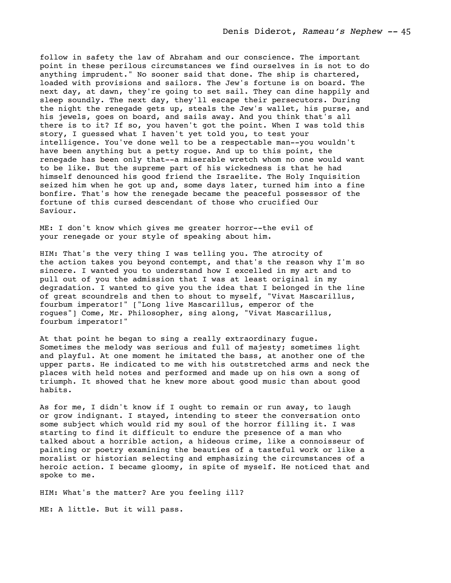follow in safety the law of Abraham and our conscience. The important point in these perilous circumstances we find ourselves in is not to do anything imprudent." No sooner said that done. The ship is chartered, loaded with provisions and sailors. The Jew's fortune is on board. The next day, at dawn, they're going to set sail. They can dine happily and sleep soundly. The next day, they'll escape their persecutors. During the night the renegade gets up, steals the Jew's wallet, his purse, and his jewels, goes on board, and sails away. And you think that's all there is to it? If so, you haven't got the point. When I was told this story, I guessed what I haven't yet told you, to test your intelligence. You've done well to be a respectable man--you wouldn't have been anything but a petty rogue. And up to this point, the renegade has been only that--a miserable wretch whom no one would want to be like. But the supreme part of his wickedness is that he had himself denounced his good friend the Israelite. The Holy Inquisition seized him when he got up and, some days later, turned him into a fine bonfire. That's how the renegade became the peaceful possessor of the fortune of this cursed descendant of those who crucified Our Saviour.

ME: I don't know which gives me greater horror--the evil of your renegade or your style of speaking about him.

HIM: That's the very thing I was telling you. The atrocity of the action takes you beyond contempt, and that's the reason why I'm so sincere. I wanted you to understand how I excelled in my art and to pull out of you the admission that I was at least original in my degradation. I wanted to give you the idea that I belonged in the line of great scoundrels and then to shout to myself, "Vivat Mascarillus, fourbum imperator!" ["Long live Mascarillus, emperor of the rogues"] Come, Mr. Philosopher, sing along, "Vivat Mascarillus, fourbum imperator!"

At that point he began to sing a really extraordinary fugue. Sometimes the melody was serious and full of majesty; sometimes light and playful. At one moment he imitated the bass, at another one of the upper parts. He indicated to me with his outstretched arms and neck the places with held notes and performed and made up on his own a song of triumph. It showed that he knew more about good music than about good habits.

As for me, I didn't know if I ought to remain or run away, to laugh or grow indignant. I stayed, intending to steer the conversation onto some subject which would rid my soul of the horror filling it. I was starting to find it difficult to endure the presence of a man who talked about a horrible action, a hideous crime, like a connoisseur of painting or poetry examining the beauties of a tasteful work or like a moralist or historian selecting and emphasizing the circumstances of a heroic action. I became gloomy, in spite of myself. He noticed that and spoke to me.

HIM: What's the matter? Are you feeling ill?

ME: A little. But it will pass.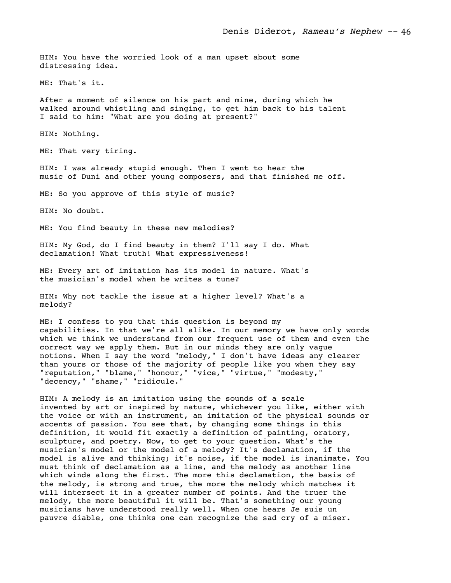HIM: You have the worried look of a man upset about some distressing idea.

ME: That's it.

After a moment of silence on his part and mine, during which he walked around whistling and singing, to get him back to his talent I said to him: "What are you doing at present?"

HIM: Nothing.

ME: That very tiring.

HIM: I was already stupid enough. Then I went to hear the music of Duni and other young composers, and that finished me off.

ME: So you approve of this style of music?

HIM: No doubt.

ME: You find beauty in these new melodies?

HIM: My God, do I find beauty in them? I'll say I do. What declamation! What truth! What expressiveness!

ME: Every art of imitation has its model in nature. What's the musician's model when he writes a tune?

HIM: Why not tackle the issue at a higher level? What's a melody?

ME: I confess to you that this question is beyond my capabilities. In that we're all alike. In our memory we have only words which we think we understand from our frequent use of them and even the correct way we apply them. But in our minds they are only vague notions. When I say the word "melody," I don't have ideas any clearer than yours or those of the majority of people like you when they say "reputation," "blame," "honour," "vice," "virtue," "modesty," "decency," "shame," "ridicule."

HIM: A melody is an imitation using the sounds of a scale invented by art or inspired by nature, whichever you like, either with the voice or with an instrument, an imitation of the physical sounds or accents of passion. You see that, by changing some things in this definition, it would fit exactly a definition of painting, oratory, sculpture, and poetry. Now, to get to your question. What's the musician's model or the model of a melody? It's declamation, if the model is alive and thinking; it's noise, if the model is inanimate. You must think of declamation as a line, and the melody as another line which winds along the first. The more this declamation, the basis of the melody, is strong and true, the more the melody which matches it will intersect it in a greater number of points. And the truer the melody, the more beautiful it will be. That's something our young musicians have understood really well. When one hears Je suis un pauvre diable, one thinks one can recognize the sad cry of a miser.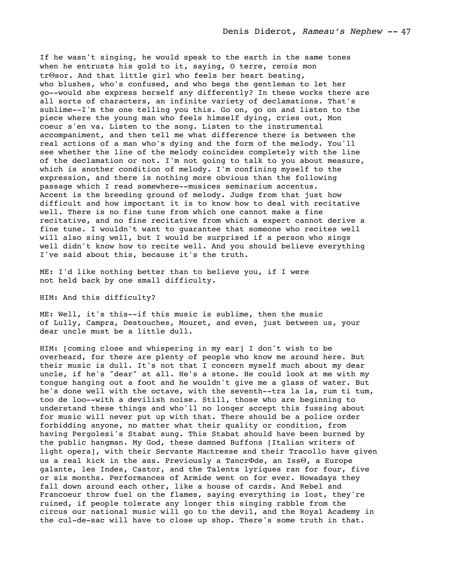If he wasn't singing, he would speak to the earth in the same tones when he entrusts his gold to it, saying, O terre, retois mon trΘsor. And that little girl who feels her heart beating, who blushes, who's confused, and who begs the gentleman to let her go--would she express herself any differently? In these works there are all sorts of characters, an infinite variety of declamations. That's sublime--I'm the one telling you this. Go on, go on and listen to the piece where the young man who feels himself dying, cries out, Mon coeur s'en va. Listen to the song. Listen to the instrumental accompaniment, and then tell me what difference there is between the real actions of a man who's dying and the form of the melody. You'll see whether the line of the melody coincides completely with the line of the declamation or not. I'm not going to talk to you about measure, which is another condition of melody. I'm confining myself to the expression, and there is nothing more obvious than the following passage which I read somewhere--musices seminarium accentus. Accent is the breeding ground of melody. Judge from that just how difficult and how important it is to know how to deal with recitative well. There is no fine tune from which one cannot make a fine recitative, and no fine recitative from which a expert cannot derive a fine tune. I wouldn't want to guarantee that someone who recites well will also sing well, but I would be surprised if a person who sings well didn't know how to recite well. And you should believe everything I've said about this, because it's the truth.

ME: I'd like nothing better than to believe you, if I were not held back by one small difficulty.

## HIM: And this difficulty?

ME: Well, it's this--if this music is sublime, then the music of Lully, Campra, Destouches, Mouret, and even, just between us, your dear uncle must be a little dull.

HIM: [coming close and whispering in my ear] I don't wish to be overheard, for there are plenty of people who know me around here. But their music is dull. It's not that I concern myself much about my dear uncle, if he's "dear" at all. He's a stone. He could look at me with my tongue hanging out a foot and he wouldn't give me a glass of water. But he's done well with the octave, with the seventh--tra la la, rum ti tum, too de loo--with a devilish noise. Still, those who are beginning to understand these things and who'll no longer accept this fussing about for music will never put up with that. There should be a police order forbidding anyone, no matter what their quality or condition, from having Pergolesi's Stabat sung. This Stabat should have been burned by the public hangman. My God, these damned Buffons [Italian writers of light opera], with their Servante Maεtresse and their Tracollo have given us a real kick in the ass. Previously a TancrΦde, an IssΘ, a Europe galante, les Indes, Castor, and the Talents lyriques ran for four, five or six months. Performances of Armide went on for ever. Nowadays they fall down around each other, like a house of cards. And Rebel and Francoeur throw fuel on the flames, saying everything is lost, they're ruined, if people tolerate any longer this singing rabble from the circus our national music will go to the devil, and the Royal Academy in the cul-de-sac will have to close up shop. There's some truth in that.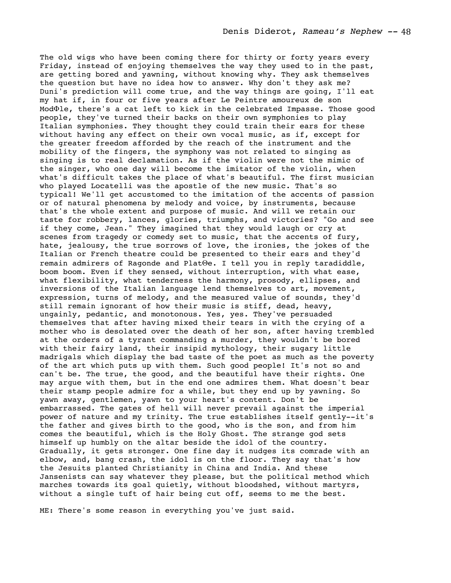The old wigs who have been coming there for thirty or forty years every Friday, instead of enjoying themselves the way they used to in the past, are getting bored and yawning, without knowing why. They ask themselves the question but have no idea how to answer. Why don't they ask me? Duni's prediction will come true, and the way things are going, I'll eat my hat if, in four or five years after Le Peintre amoureux de son ModΦle, there's a cat left to kick in the celebrated Impasse. Those good people, they've turned their backs on their own symphonies to play Italian symphonies. They thought they could train their ears for these without having any effect on their own vocal music, as if, except for the greater freedom afforded by the reach of the instrument and the mobility of the fingers, the symphony was not related to singing as singing is to real declamation. As if the violin were not the mimic of the singer, who one day will become the imitator of the violin, when what's difficult takes the place of what's beautiful. The first musician who played Locatelli was the apostle of the new music. That's so typical! We'll get accustomed to the imitation of the accents of passion or of natural phenomena by melody and voice, by instruments, because that's the whole extent and purpose of music. And will we retain our taste for robbery, lances, glories, triumphs, and victories? "Go and see if they come, Jean." They imagined that they would laugh or cry at scenes from tragedy or comedy set to music, that the accents of fury, hate, jealousy, the true sorrows of love, the ironies, the jokes of the Italian or French theatre could be presented to their ears and they'd remain admirers of Ragonde and PlatΘe. I tell you in reply taradiddle, boom boom. Even if they sensed, without interruption, with what ease, what flexibility, what tenderness the harmony, prosody, ellipses, and inversions of the Italian language lend themselves to art, movement, expression, turns of melody, and the measured value of sounds, they'd still remain ignorant of how their music is stiff, dead, heavy, ungainly, pedantic, and monotonous. Yes, yes. They've persuaded themselves that after having mixed their tears in with the crying of a mother who is desolated over the death of her son, after having trembled at the orders of a tyrant commanding a murder, they wouldn't be bored with their fairy land, their insipid mythology, their sugary little madrigals which display the bad taste of the poet as much as the poverty of the art which puts up with them. Such good people! It's not so and can't be. The true, the good, and the beautiful have their rights. One may argue with them, but in the end one admires them. What doesn't bear their stamp people admire for a while, but they end up by yawning. So yawn away, gentlemen, yawn to your heart's content. Don't be embarrassed. The gates of hell will never prevail against the imperial power of nature and my trinity. The true establishes itself gently--it's the father and gives birth to the good, who is the son, and from him comes the beautiful, which is the Holy Ghost. The strange god sets himself up humbly on the altar beside the idol of the country. Gradually, it gets stronger. One fine day it nudges its comrade with an elbow, and, bang crash, the idol is on the floor. They say that's how the Jesuits planted Christianity in China and India. And these Jansenists can say whatever they please, but the political method which marches towards its goal quietly, without bloodshed, without martyrs, without a single tuft of hair being cut off, seems to me the best.

ME: There's some reason in everything you've just said.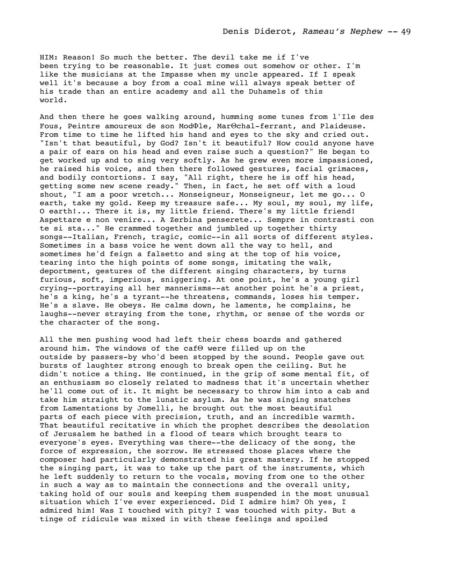HIM: Reason! So much the better. The devil take me if I've been trying to be reasonable. It just comes out somehow or other. I'm like the musicians at the Impasse when my uncle appeared. If I speak well it's because a boy from a coal mine will always speak better of his trade than an entire academy and all the Duhamels of this world.

And then there he goes walking around, humming some tunes from l'Ile des Fous, Peintre amoureux de son ModΦle, MarΘchal-ferrant, and Plaideuse. From time to time he lifted his hand and eyes to the sky and cried out. "Isn't that beautiful, by God? Isn't it beautiful? How could anyone have a pair of ears on his head and even raise such a question?" He began to get worked up and to sing very softly. As he grew even more impassioned, he raised his voice, and then there followed gestures, facial grimaces, and bodily contortions. I say, "All right, there he is off his head, getting some new scene ready." Then, in fact, he set off with a loud shout, "I am a poor wretch... Monseigneur, Monseigneur, let me go... O earth, take my gold. Keep my treasure safe... My soul, my soul, my life, O earth!... There it is, my little friend. There's my little friend! Aspettare e non venire... A Zerbina penserete... Sempre in contrasti con te si sta..." He crammed together and jumbled up together thirty songs--Italian, French, tragic, comic--in all sorts of different styles. Sometimes in a bass voice he went down all the way to hell, and sometimes he'd feign a falsetto and sing at the top of his voice, tearing into the high points of some songs, imitating the walk, deportment, gestures of the different singing characters, by turns furious, soft, imperious, sniggering. At one point, he's a young girl crying--portraying all her mannerisms--at another point he's a priest, he's a king, he's a tyrant--he threatens, commands, loses his temper. He's a slave. He obeys. He calms down, he laments, he complains, he laughs--never straying from the tone, rhythm, or sense of the words or the character of the song.

All the men pushing wood had left their chess boards and gathered around him. The windows of the cafΘ were filled up on the outside by passers-by who'd been stopped by the sound. People gave out bursts of laughter strong enough to break open the ceiling. But he didn't notice a thing. He continued, in the grip of some mental fit, of an enthusiasm so closely related to madness that it's uncertain whether he'll come out of it. It might be necessary to throw him into a cab and take him straight to the lunatic asylum. As he was singing snatches from Lamentations by Jomelli, he brought out the most beautiful parts of each piece with precision, truth, and an incredible warmth. That beautiful recitative in which the prophet describes the desolation of Jerusalem he bathed in a flood of tears which brought tears to everyone's eyes. Everything was there--the delicacy of the song, the force of expression, the sorrow. He stressed those places where the composer had particularly demonstrated his great mastery. If he stopped the singing part, it was to take up the part of the instruments, which he left suddenly to return to the vocals, moving from one to the other in such a way as to maintain the connections and the overall unity, taking hold of our souls and keeping them suspended in the most unusual situation which I've ever experienced. Did I admire him? Oh yes, I admired him! Was I touched with pity? I was touched with pity. But a tinge of ridicule was mixed in with these feelings and spoiled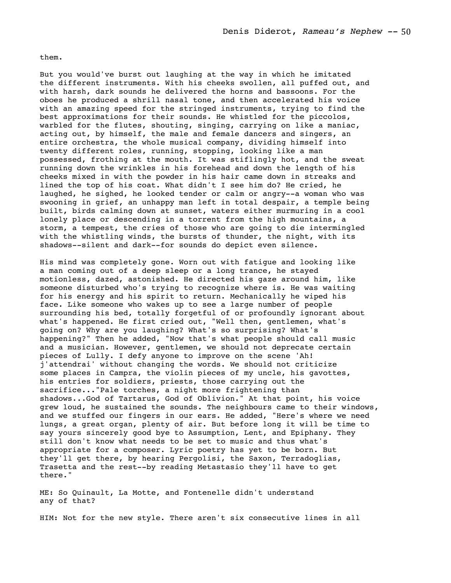them.

But you would've burst out laughing at the way in which he imitated the different instruments. With his cheeks swollen, all puffed out, and with harsh, dark sounds he delivered the horns and bassoons. For the oboes he produced a shrill nasal tone, and then accelerated his voice with an amazing speed for the stringed instruments, trying to find the best approximations for their sounds. He whistled for the piccolos, warbled for the flutes, shouting, singing, carrying on like a maniac, acting out, by himself, the male and female dancers and singers, an entire orchestra, the whole musical company, dividing himself into twenty different roles, running, stopping, looking like a man possessed, frothing at the mouth. It was stiflingly hot, and the sweat running down the wrinkles in his forehead and down the length of his cheeks mixed in with the powder in his hair came down in streaks and lined the top of his coat. What didn't I see him do? He cried, he laughed, he sighed, he looked tender or calm or angry--a woman who was swooning in grief, an unhappy man left in total despair, a temple being built, birds calming down at sunset, waters either murmuring in a cool lonely place or descending in a torrent from the high mountains, a storm, a tempest, the cries of those who are going to die intermingled with the whistling winds, the bursts of thunder, the night, with its shadows--silent and dark--for sounds do depict even silence.

His mind was completely gone. Worn out with fatigue and looking like a man coming out of a deep sleep or a long trance, he stayed motionless, dazed, astonished. He directed his gaze around him, like someone disturbed who's trying to recognize where is. He was waiting for his energy and his spirit to return. Mechanically he wiped his face. Like someone who wakes up to see a large number of people surrounding his bed, totally forgetful of or profoundly ignorant about what's happened. He first cried out, "Well then, gentlemen, what's going on? Why are you laughing? What's so surprising? What's happening?" Then he added, "Now that's what people should call music and a musician. However, gentlemen, we should not deprecate certain pieces of Lully. I defy anyone to improve on the scene 'Ah! j'attendrai' without changing the words. We should not criticize some places in Campra, the violin pieces of my uncle, his gavottes, his entries for soldiers, priests, those carrying out the sacrifice..."Pale torches, a night more frightening than shadows...God of Tartarus, God of Oblivion." At that point, his voice grew loud, he sustained the sounds. The neighbours came to their windows, and we stuffed our fingers in our ears. He added, "Here's where we need lungs, a great organ, plenty of air. But before long it will be time to say yours sincerely good bye to Assumption, Lent, and Epiphany. They still don't know what needs to be set to music and thus what's appropriate for a composer. Lyric poetry has yet to be born. But they'll get there, by hearing Pergolisi, the Saxon, Terradoglias, Trasetta and the rest--by reading Metastasio they'll have to get there."

ME: So Quinault, La Motte, and Fontenelle didn't understand any of that?

HIM: Not for the new style. There aren't six consecutive lines in all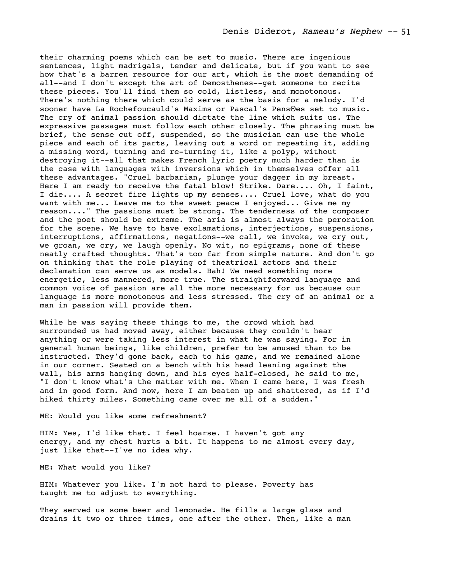their charming poems which can be set to music. There are ingenious sentences, light madrigals, tender and delicate, but if you want to see how that's a barren resource for our art, which is the most demanding of all--and I don't except the art of Demosthenes--get someone to recite these pieces. You'll find them so cold, listless, and monotonous. There's nothing there which could serve as the basis for a melody. I'd sooner have La Rochefoucauld's Maxims or Pascal's PensΘes set to music. The cry of animal passion should dictate the line which suits us. The expressive passages must follow each other closely. The phrasing must be brief, the sense cut off, suspended, so the musician can use the whole piece and each of its parts, leaving out a word or repeating it, adding a missing word, turning and re-turning it, like a polyp, without destroying it--all that makes French lyric poetry much harder than is the case with languages with inversions which in themselves offer all these advantages. "Cruel barbarian, plunge your dagger in my breast. Here I am ready to receive the fatal blow! Strike. Dare.... Oh, I faint, I die.... A secret fire lights up my senses.... Cruel love, what do you want with me... Leave me to the sweet peace I enjoyed... Give me my reason...." The passions must be strong. The tenderness of the composer and the poet should be extreme. The aria is almost always the peroration for the scene. We have to have exclamations, interjections, suspensions, interruptions, affirmations, negations--we call, we invoke, we cry out, we groan, we cry, we laugh openly. No wit, no epigrams, none of these neatly crafted thoughts. That's too far from simple nature. And don't go on thinking that the role playing of theatrical actors and their declamation can serve us as models. Bah! We need something more energetic, less mannered, more true. The straightforward language and common voice of passion are all the more necessary for us because our language is more monotonous and less stressed. The cry of an animal or a man in passion will provide them.

While he was saying these things to me, the crowd which had surrounded us had moved away, either because they couldn't hear anything or were taking less interest in what he was saying. For in general human beings, like children, prefer to be amused than to be instructed. They'd gone back, each to his game, and we remained alone in our corner. Seated on a bench with his head leaning against the wall, his arms hanging down, and his eyes half-closed, he said to me, "I don't know what's the matter with me. When I came here, I was fresh and in good form. And now, here I am beaten up and shattered, as if I'd hiked thirty miles. Something came over me all of a sudden."

ME: Would you like some refreshment?

HIM: Yes, I'd like that. I feel hoarse. I haven't got any energy, and my chest hurts a bit. It happens to me almost every day, just like that--I've no idea why.

ME: What would you like?

HIM: Whatever you like. I'm not hard to please. Poverty has taught me to adjust to everything.

They served us some beer and lemonade. He fills a large glass and drains it two or three times, one after the other. Then, like a man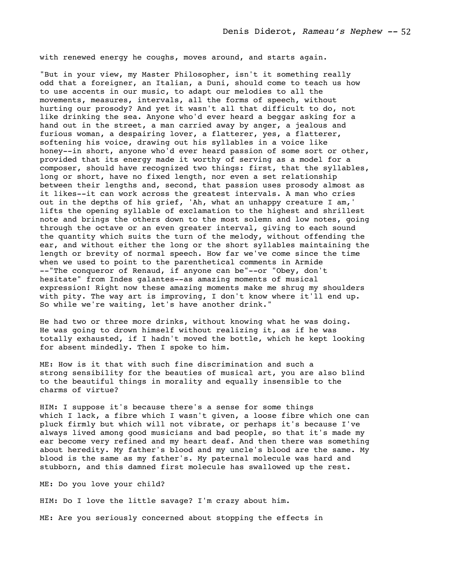with renewed energy he coughs, moves around, and starts again.

"But in your view, my Master Philosopher, isn't it something really odd that a foreigner, an Italian, a Duni, should come to teach us how to use accents in our music, to adapt our melodies to all the movements, measures, intervals, all the forms of speech, without hurting our prosody? And yet it wasn't all that difficult to do, not like drinking the sea. Anyone who'd ever heard a beggar asking for a hand out in the street, a man carried away by anger, a jealous and furious woman, a despairing lover, a flatterer, yes, a flatterer, softening his voice, drawing out his syllables in a voice like honey--in short, anyone who'd ever heard passion of some sort or other, provided that its energy made it worthy of serving as a model for a composer, should have recognized two things: first, that the syllables, long or short, have no fixed length, nor even a set relationship between their lengths and, second, that passion uses prosody almost as it likes--it can work across the greatest intervals. A man who cries out in the depths of his grief, 'Ah, what an unhappy creature I am,' lifts the opening syllable of exclamation to the highest and shrillest note and brings the others down to the most solemn and low notes, going through the octave or an even greater interval, giving to each sound the quantity which suits the turn of the melody, without offending the ear, and without either the long or the short syllables maintaining the length or brevity of normal speech. How far we've come since the time when we used to point to the parenthetical comments in Armide --"The conqueror of Renaud, if anyone can be"--or "Obey, don't hesitate" from Indes galantes--as amazing moments of musical expression! Right now these amazing moments make me shrug my shoulders with pity. The way art is improving, I don't know where it'll end up. So while we're waiting, let's have another drink."

He had two or three more drinks, without knowing what he was doing. He was going to drown himself without realizing it, as if he was totally exhausted, if I hadn't moved the bottle, which he kept looking for absent mindedly. Then I spoke to him.

ME: How is it that with such fine discrimination and such a strong sensibility for the beauties of musical art, you are also blind to the beautiful things in morality and equally insensible to the charms of virtue?

HIM: I suppose it's because there's a sense for some things which I lack, a fibre which I wasn't given, a loose fibre which one can pluck firmly but which will not vibrate, or perhaps it's because I've always lived among good musicians and bad people, so that it's made my ear become very refined and my heart deaf. And then there was something about heredity. My father's blood and my uncle's blood are the same. My blood is the same as my father's. My paternal molecule was hard and stubborn, and this damned first molecule has swallowed up the rest.

ME: Do you love your child?

HIM: Do I love the little savage? I'm crazy about him.

ME: Are you seriously concerned about stopping the effects in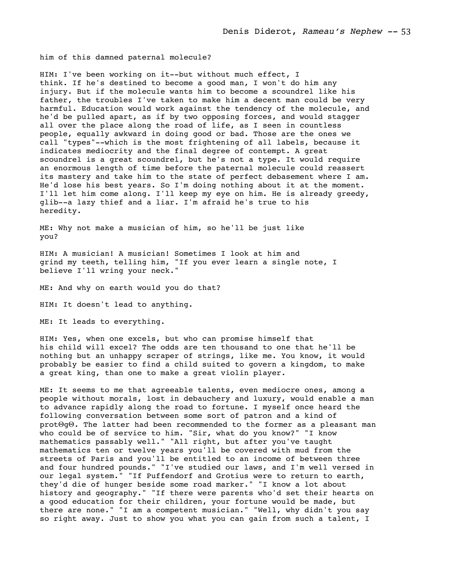him of this damned paternal molecule?

HIM: I've been working on it--but without much effect, I think. If he's destined to become a good man, I won't do him any injury. But if the molecule wants him to become a scoundrel like his father, the troubles I've taken to make him a decent man could be very harmful. Education would work against the tendency of the molecule, and he'd be pulled apart, as if by two opposing forces, and would stagger all over the place along the road of life, as I seen in countless people, equally awkward in doing good or bad. Those are the ones we call "types"--which is the most frightening of all labels, because it indicates mediocrity and the final degree of contempt. A great scoundrel is a great scoundrel, but he's not a type. It would require an enormous length of time before the paternal molecule could reassert its mastery and take him to the state of perfect debasement where I am. He'd lose his best years. So I'm doing nothing about it at the moment. I'll let him come along. I'll keep my eye on him. He is already greedy, glib--a lazy thief and a liar. I'm afraid he's true to his heredity.

ME: Why not make a musician of him, so he'll be just like you?

HIM: A musician! A musician! Sometimes I look at him and grind my teeth, telling him, "If you ever learn a single note, I believe I'll wring your neck."

ME: And why on earth would you do that?

HIM: It doesn't lead to anything.

ME: It leads to everything.

HIM: Yes, when one excels, but who can promise himself that his child will excel? The odds are ten thousand to one that he'll be nothing but an unhappy scraper of strings, like me. You know, it would probably be easier to find a child suited to govern a kingdom, to make a great king, than one to make a great violin player.

ME: It seems to me that agreeable talents, even mediocre ones, among a people without morals, lost in debauchery and luxury, would enable a man to advance rapidly along the road to fortune. I myself once heard the following conversation between some sort of patron and a kind of protΘgΘ. The latter had been recommended to the former as a pleasant man who could be of service to him. "Sir, what do you know?" "I know mathematics passably well." "All right, but after you've taught mathematics ten or twelve years you'll be covered with mud from the streets of Paris and you'll be entitled to an income of between three and four hundred pounds." "I've studied our laws, and I'm well versed in our legal system." "If Puffendorf and Grotius were to return to earth, they'd die of hunger beside some road marker." "I know a lot about history and geography." "If there were parents who'd set their hearts on a good education for their children, your fortune would be made, but there are none." "I am a competent musician." "Well, why didn't you say so right away. Just to show you what you can gain from such a talent, I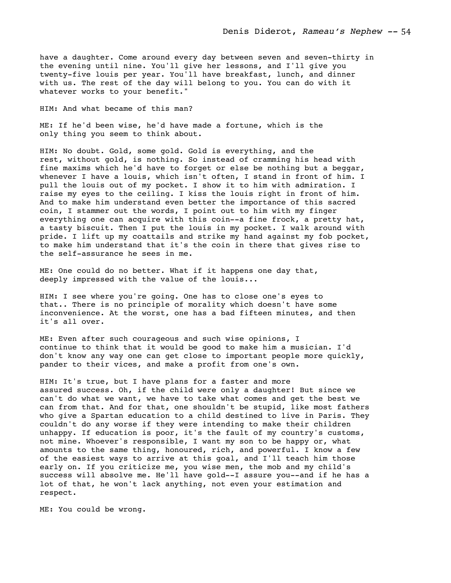have a daughter. Come around every day between seven and seven-thirty in the evening until nine. You'll give her lessons, and I'll give you twenty-five louis per year. You'll have breakfast, lunch, and dinner with us. The rest of the day will belong to you. You can do with it whatever works to your benefit."

HIM: And what became of this man?

ME: If he'd been wise, he'd have made a fortune, which is the only thing you seem to think about.

HIM: No doubt. Gold, some gold. Gold is everything, and the rest, without gold, is nothing. So instead of cramming his head with fine maxims which he'd have to forget or else be nothing but a beggar, whenever I have a louis, which isn't often, I stand in front of him. I pull the louis out of my pocket. I show it to him with admiration. I raise my eyes to the ceiling. I kiss the louis right in front of him. And to make him understand even better the importance of this sacred coin, I stammer out the words, I point out to him with my finger everything one can acquire with this coin--a fine frock, a pretty hat, a tasty biscuit. Then I put the louis in my pocket. I walk around with pride. I lift up my coattails and strike my hand against my fob pocket, to make him understand that it's the coin in there that gives rise to the self-assurance he sees in me.

ME: One could do no better. What if it happens one day that, deeply impressed with the value of the louis...

HIM: I see where you're going. One has to close one's eyes to that.. There is no principle of morality which doesn't have some inconvenience. At the worst, one has a bad fifteen minutes, and then it's all over.

ME: Even after such courageous and such wise opinions, I continue to think that it would be good to make him a musician. I'd don't know any way one can get close to important people more quickly, pander to their vices, and make a profit from one's own.

HIM: It's true, but I have plans for a faster and more assured success. Oh, if the child were only a daughter! But since we can't do what we want, we have to take what comes and get the best we can from that. And for that, one shouldn't be stupid, like most fathers who give a Spartan education to a child destined to live in Paris. They couldn't do any worse if they were intending to make their children unhappy. If education is poor, it's the fault of my country's customs, not mine. Whoever's responsible, I want my son to be happy or, what amounts to the same thing, honoured, rich, and powerful. I know a few of the easiest ways to arrive at this goal, and I'll teach him those early on. If you criticize me, you wise men, the mob and my child's success will absolve me. He'll have gold--I assure you--and if he has a lot of that, he won't lack anything, not even your estimation and respect.

ME: You could be wrong.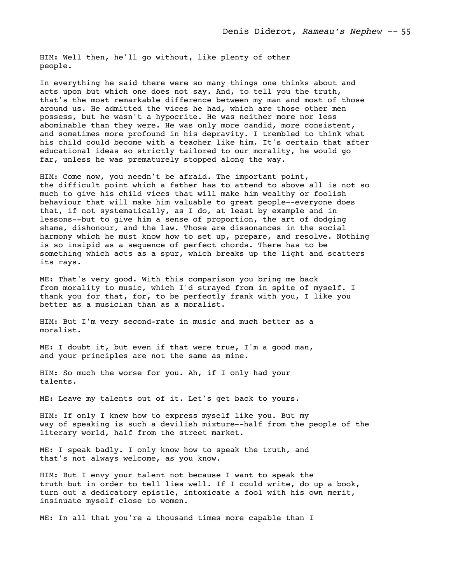HIM: Well then, he'll go without, like plenty of other people.

In everything he said there were so many things one thinks about and acts upon but which one does not say. And, to tell you the truth, that's the most remarkable difference between my man and most of those around us. He admitted the vices he had, which are those other men possess, but he wasn't a hypocrite. He was neither more nor less abominable than they were. He was only more candid, more consistent, and sometimes more profound in his depravity. I trembled to think what his child could become with a teacher like him. It's certain that after educational ideas so strictly tailored to our morality, he would go far, unless he was prematurely stopped along the way.

HIM: Come now, you needn't be afraid. The important point, the difficult point which a father has to attend to above all is not so much to give his child vices that will make him wealthy or foolish behaviour that will make him valuable to great people--everyone does that, if not systematically, as I do, at least by example and in lessons--but to give him a sense of proportion, the art of dodging shame, dishonour, and the law. Those are dissonances in the social harmony which he must know how to set up, prepare, and resolve. Nothing is so insipid as a sequence of perfect chords. There has to be something which acts as a spur, which breaks up the light and scatters its rays.

ME: That's very good. With this comparison you bring me back from morality to music, which I'd strayed from in spite of myself. I thank you for that, for, to be perfectly frank with you, I like you better as a musician than as a moralist.

HIM: But I'm very second-rate in music and much better as a moralist.

ME: I doubt it, but even if that were true, I'm a good man, and your principles are not the same as mine.

HIM: So much the worse for you. Ah, if I only had your talents.

ME: Leave my talents out of it. Let's get back to yours.

HIM: If only I knew how to express myself like you. But my way of speaking is such a devilish mixture--half from the people of the literary world, half from the street market.

ME: I speak badly. I only know how to speak the truth, and that's not always welcome, as you know.

HIM: But I envy your talent not because I want to speak the truth but in order to tell lies well. If I could write, do up a book, turn out a dedicatory epistle, intoxicate a fool with his own merit, insinuate myself close to women.

ME: In all that you're a thousand times more capable than I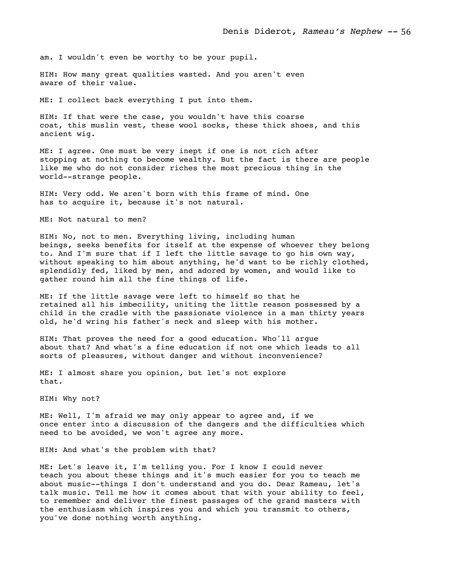am. I wouldn't even be worthy to be your pupil.

HIM: How many great qualities wasted. And you aren't even aware of their value.

ME: I collect back everything I put into them.

HIM: If that were the case, you wouldn't have this coarse coat, this muslin vest, these wool socks, these thick shoes, and this ancient wig.

ME: I agree. One must be very inept if one is not rich after stopping at nothing to become wealthy. But the fact is there are people like me who do not consider riches the most precious thing in the world--strange people.

HIM: Very odd. We aren't born with this frame of mind. One has to acquire it, because it's not natural.

ME: Not natural to men?

HIM: No, not to men. Everything living, including human beings, seeks benefits for itself at the expense of whoever they belong to. And I'm sure that if I left the little savage to go his own way, without speaking to him about anything, he'd want to be richly clothed, splendidly fed, liked by men, and adored by women, and would like to gather round him all the fine things of life.

ME: If the little savage were left to himself so that he retained all his imbecility, uniting the little reason possessed by a child in the cradle with the passionate violence in a man thirty years old, he'd wring his father's neck and sleep with his mother.

HIM: That proves the need for a good education. Who'll argue about that? And what's a fine education if not one which leads to all sorts of pleasures, without danger and without inconvenience?

ME: I almost share you opinion, but let's not explore that.

HIM: Why not?

ME: Well, I'm afraid we may only appear to agree and, if we once enter into a discussion of the dangers and the difficulties which need to be avoided, we won't agree any more.

HIM: And what's the problem with that?

ME: Let's leave it, I'm telling you. For I know I could never teach you about these things and it's much easier for you to teach me about music--things I don't understand and you do. Dear Rameau, let's talk music. Tell me how it comes about that with your ability to feel, to remember and deliver the finest passages of the grand masters with the enthusiasm which inspires you and which you transmit to others, you've done nothing worth anything.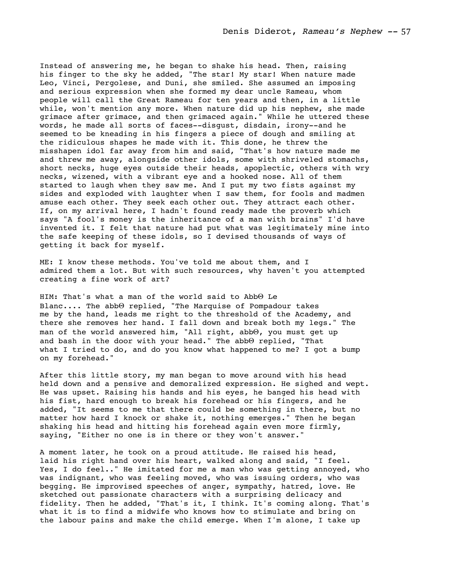Instead of answering me, he began to shake his head. Then, raising his finger to the sky he added, "The star! My star! When nature made Leo, Vinci, Pergolese, and Duni, she smiled. She assumed an imposing and serious expression when she formed my dear uncle Rameau, whom people will call the Great Rameau for ten years and then, in a little while, won't mention any more. When nature did up his nephew, she made grimace after grimace, and then grimaced again." While he uttered these words, he made all sorts of faces--disgust, disdain, irony--and he seemed to be kneading in his fingers a piece of dough and smiling at the ridiculous shapes he made with it. This done, he threw the misshapen idol far away from him and said, "That's how nature made me and threw me away, alongside other idols, some with shriveled stomachs, short necks, huge eyes outside their heads, apoplectic, others with wry necks, wizened, with a vibrant eye and a hooked nose. All of them started to laugh when they saw me. And I put my two fists against my sides and exploded with laughter when I saw them, for fools and madmen amuse each other. They seek each other out. They attract each other. If, on my arrival here, I hadn't found ready made the proverb which says "A fool's money is the inheritance of a man with brains" I'd have invented it. I felt that nature had put what was legitimately mine into the safe keeping of these idols, so I devised thousands of ways of getting it back for myself.

ME: I know these methods. You've told me about them, and I admired them a lot. But with such resources, why haven't you attempted creating a fine work of art?

HIM: That's what a man of the world said to AbbΘ Le Blanc.... The abbΘ replied, "The Marquise of Pompadour takes me by the hand, leads me right to the threshold of the Academy, and there she removes her hand. I fall down and break both my legs." The man of the world answered him, "All right, abbΘ, you must get up and bash in the door with your head." The abbΘ replied, "That what I tried to do, and do you know what happened to me? I got a bump on my forehead."

After this little story, my man began to move around with his head held down and a pensive and demoralized expression. He sighed and wept. He was upset. Raising his hands and his eyes, he banged his head with his fist, hard enough to break his forehead or his fingers, and he added, "It seems to me that there could be something in there, but no matter how hard I knock or shake it, nothing emerges." Then he began shaking his head and hitting his forehead again even more firmly, saying, "Either no one is in there or they won't answer."

A moment later, he took on a proud attitude. He raised his head, laid his right hand over his heart, walked along and said, "I feel. Yes, I do feel.." He imitated for me a man who was getting annoyed, who was indignant, who was feeling moved, who was issuing orders, who was begging. He improvised speeches of anger, sympathy, hatred, love. He sketched out passionate characters with a surprising delicacy and fidelity. Then he added, "That's it, I think. It's coming along. That's what it is to find a midwife who knows how to stimulate and bring on the labour pains and make the child emerge. When I'm alone, I take up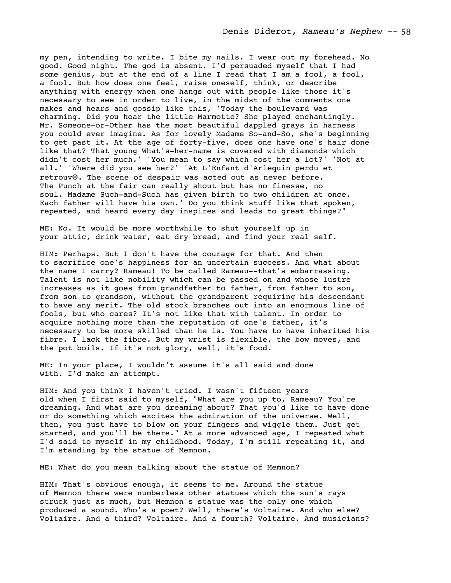my pen, intending to write. I bite my nails. I wear out my forehead. No good. Good night. The god is absent. I'd persuaded myself that I had some genius, but at the end of a line I read that I am a fool, a fool, a fool. But how does one feel, raise oneself, think, or describe anything with energy when one hangs out with people like those it's necessary to see in order to live, in the midst of the comments one makes and hears and gossip like this, 'Today the boulevard was charming. Did you hear the little Marmotte? She played enchantingly. Mr. Someone-or-Other has the most beautiful dappled grays in harness you could ever imagine. As for lovely Madame So-and-So, she's beginning to get past it. At the age of forty-five, does one have one's hair done like that? That young What's-her-name is covered with diamonds which didn't cost her much.' 'You mean to say which cost her a lot?' 'Not at all.' 'Where did you see her?' 'At L'Enfant d'Arlequin perdu et retrouvΘ. The scene of despair was acted out as never before. The Punch at the fair can really shout but has no finesse, no soul. Madame Such-and-Such has given birth to two children at once. Each father will have his own.' Do you think stuff like that spoken, repeated, and heard every day inspires and leads to great things?"

ME: No. It would be more worthwhile to shut yourself up in your attic, drink water, eat dry bread, and find your real self.

HIM: Perhaps. But I don't have the courage for that. And then to sacrifice one's happiness for an uncertain success. And what about the name I carry? Rameau! To be called Rameau--that's embarrassing. Talent is not like nobility which can be passed on and whose lustre increases as it goes from grandfather to father, from father to son, from son to grandson, without the grandparent requiring his descendant to have any merit. The old stock branches out into an enormous line of fools, but who cares? It's not like that with talent. In order to acquire nothing more than the reputation of one's father, it's necessary to be more skilled than he is. You have to have inherited his fibre. I lack the fibre. But my wrist is flexible, the bow moves, and the pot boils. If it's not glory, well, it's food.

ME: In your place, I wouldn't assume it's all said and done with. I'd make an attempt.

HIM: And you think I haven't tried. I wasn't fifteen years old when I first said to myself, "What are you up to, Rameau? You're dreaming. And what are you dreaming about? That you'd like to have done or do something which excites the admiration of the universe. Well, then, you just have to blow on your fingers and wiggle them. Just get started, and you'll be there." At a more advanced age, I repeated what I'd said to myself in my childhood. Today, I'm still repeating it, and I'm standing by the statue of Memnon.

ME: What do you mean talking about the statue of Memnon?

HIM: That's obvious enough, it seems to me. Around the statue of Memnon there were numberless other statues which the sun's rays struck just as much, but Memnon's statue was the only one which produced a sound. Who's a poet? Well, there's Voltaire. And who else? Voltaire. And a third? Voltaire. And a fourth? Voltaire. And musicians?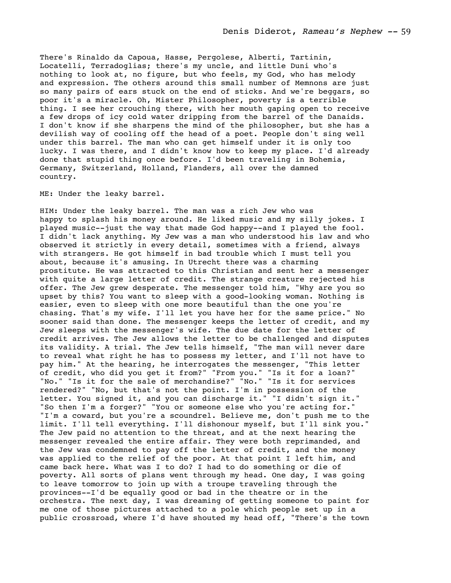There's Rinaldo da Capoua, Hasse, Pergolese, Alberti, Tartinin, Locatelli, Terradoglias; there's my uncle, and little Duni who's nothing to look at, no figure, but who feels, my God, who has melody and expression. The others around this small number of Memnons are just so many pairs of ears stuck on the end of sticks. And we're beggars, so poor it's a miracle. Oh, Mister Philosopher, poverty is a terrible thing. I see her crouching there, with her mouth gaping open to receive a few drops of icy cold water dripping from the barrel of the Danaids. I don't know if she sharpens the mind of the philosopher, but she has a devilish way of cooling off the head of a poet. People don't sing well under this barrel. The man who can get himself under it is only too lucky. I was there, and I didn't know how to keep my place. I'd already done that stupid thing once before. I'd been traveling in Bohemia, Germany, Switzerland, Holland, Flanders, all over the damned country.

ME: Under the leaky barrel.

HIM: Under the leaky barrel. The man was a rich Jew who was happy to splash his money around. He liked music and my silly jokes. I played music--just the way that made God happy--and I played the fool. I didn't lack anything. My Jew was a man who understood his law and who observed it strictly in every detail, sometimes with a friend, always with strangers. He got himself in bad trouble which I must tell you about, because it's amusing. In Utrecht there was a charming prostitute. He was attracted to this Christian and sent her a messenger with quite a large letter of credit. The strange creature rejected his offer. The Jew grew desperate. The messenger told him, "Why are you so upset by this? You want to sleep with a good-looking woman. Nothing is easier, even to sleep with one more beautiful than the one you're chasing. That's my wife. I'll let you have her for the same price." No sooner said than done. The messenger keeps the letter of credit, and my Jew sleeps with the messenger's wife. The due date for the letter of credit arrives. The Jew allows the letter to be challenged and disputes its validity. A trial. The Jew tells himself, "The man will never dare to reveal what right he has to possess my letter, and I'll not have to pay him." At the hearing, he interrogates the messenger, "This letter of credit, who did you get it from?" "From you." "Is it for a loan?" "No." "Is it for the sale of merchandise?" "No." "Is it for services rendered?" "No, but that's not the point. I'm in possession of the letter. You signed it, and you can discharge it." "I didn't sign it." "So then I'm a forger?" "You or someone else who you're acting for." "I'm a coward, but you're a scoundrel. Believe me, don't push me to the limit. I'll tell everything. I'll dishonour myself, but I'll sink you." The Jew paid no attention to the threat, and at the next hearing the messenger revealed the entire affair. They were both reprimanded, and the Jew was condemned to pay off the letter of credit, and the money was applied to the relief of the poor. At that point I left him, and came back here. What was I to do? I had to do something or die of poverty. All sorts of plans went through my head. One day, I was going to leave tomorrow to join up with a troupe traveling through the provinces--I'd be equally good or bad in the theatre or in the orchestra. The next day, I was dreaming of getting someone to paint for me one of those pictures attached to a pole which people set up in a public crossroad, where I'd have shouted my head off, "There's the town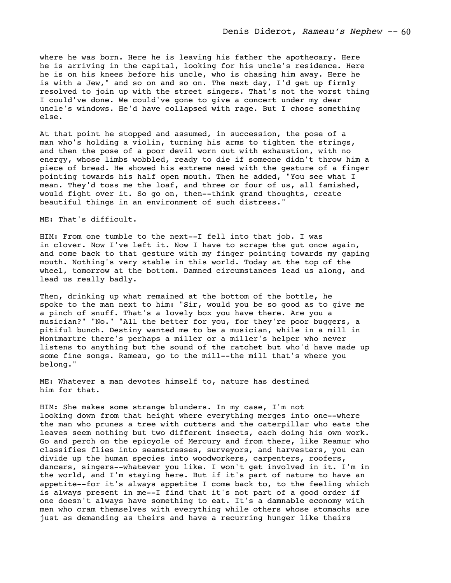where he was born. Here he is leaving his father the apothecary. Here he is arriving in the capital, looking for his uncle's residence. Here he is on his knees before his uncle, who is chasing him away. Here he is with a Jew," and so on and so on. The next day, I'd get up firmly resolved to join up with the street singers. That's not the worst thing I could've done. We could've gone to give a concert under my dear uncle's windows. He'd have collapsed with rage. But I chose something else.

At that point he stopped and assumed, in succession, the pose of a man who's holding a violin, turning his arms to tighten the strings, and then the pose of a poor devil worn out with exhaustion, with no energy, whose limbs wobbled, ready to die if someone didn't throw him a piece of bread. He showed his extreme need with the gesture of a finger pointing towards his half open mouth. Then he added, "You see what I mean. They'd toss me the loaf, and three or four of us, all famished, would fight over it. So go on, then--think grand thoughts, create beautiful things in an environment of such distress."

## ME: That's difficult.

HIM: From one tumble to the next--I fell into that job. I was in clover. Now I've left it. Now I have to scrape the gut once again, and come back to that gesture with my finger pointing towards my gaping mouth. Nothing's very stable in this world. Today at the top of the wheel, tomorrow at the bottom. Damned circumstances lead us along, and lead us really badly.

Then, drinking up what remained at the bottom of the bottle, he spoke to the man next to him: "Sir, would you be so good as to give me a pinch of snuff. That's a lovely box you have there. Are you a musician?" "No." "All the better for you, for they're poor buggers, a pitiful bunch. Destiny wanted me to be a musician, while in a mill in Montmartre there's perhaps a miller or a miller's helper who never listens to anything but the sound of the ratchet but who'd have made up some fine songs. Rameau, go to the mill--the mill that's where you belong."

ME: Whatever a man devotes himself to, nature has destined him for that.

HIM: She makes some strange blunders. In my case, I'm not looking down from that height where everything merges into one--where the man who prunes a tree with cutters and the caterpillar who eats the leaves seem nothing but two different insects, each doing his own work. Go and perch on the epicycle of Mercury and from there, like Reamur who classifies flies into seamstresses, surveyors, and harvesters, you can divide up the human species into woodworkers, carpenters, roofers, dancers, singers--whatever you like. I won't get involved in it. I'm in the world, and I'm staying here. But if it's part of nature to have an appetite--for it's always appetite I come back to, to the feeling which is always present in me--I find that it's not part of a good order if one doesn't always have something to eat. It's a damnable economy with men who cram themselves with everything while others whose stomachs are just as demanding as theirs and have a recurring hunger like theirs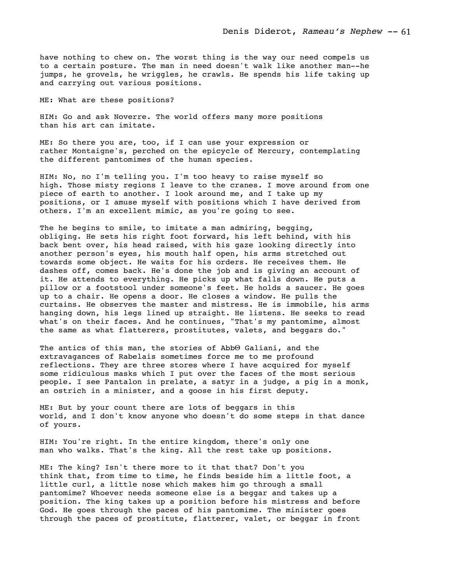have nothing to chew on. The worst thing is the way our need compels us to a certain posture. The man in need doesn't walk like another man--he jumps, he grovels, he wriggles, he crawls. He spends his life taking up and carrying out various positions.

ME: What are these positions?

HIM: Go and ask Noverre. The world offers many more positions than his art can imitate.

ME: So there you are, too, if I can use your expression or rather Montaigne's, perched on the epicycle of Mercury, contemplating the different pantomimes of the human species.

HIM: No, no I'm telling you. I'm too heavy to raise myself so high. Those misty regions I leave to the cranes. I move around from one piece of earth to another. I look around me, and I take up my positions, or I amuse myself with positions which I have derived from others. I'm an excellent mimic, as you're going to see.

The he begins to smile, to imitate a man admiring, begging, obliging. He sets his right foot forward, his left behind, with his back bent over, his head raised, with his gaze looking directly into another person's eyes, his mouth half open, his arms stretched out towards some object. He waits for his orders. He receives them. He dashes off, comes back. He's done the job and is giving an account of it. He attends to everything. He picks up what falls down. He puts a pillow or a footstool under someone's feet. He holds a saucer. He goes up to a chair. He opens a door. He closes a window. He pulls the curtains. He observes the master and mistress. He is immobile, his arms hanging down, his legs lined up straight. He listens. He seeks to read what's on their faces. And he continues, "That's my pantomime, almost the same as what flatterers, prostitutes, valets, and beggars do."

The antics of this man, the stories of Abb $\Theta$  Galiani, and the extravagances of Rabelais sometimes force me to me profound reflections. They are three stores where I have acquired for myself some ridiculous masks which I put over the faces of the most serious people. I see Pantalon in prelate, a satyr in a judge, a pig in a monk, an ostrich in a minister, and a goose in his first deputy.

ME: But by your count there are lots of beggars in this world, and I don't know anyone who doesn't do some steps in that dance of yours.

HIM: You're right. In the entire kingdom, there's only one man who walks. That's the king. All the rest take up positions.

ME: The king? Isn't there more to it that that? Don't you think that, from time to time, he finds beside him a little foot, a little curl, a little nose which makes him go through a small pantomime? Whoever needs someone else is a beggar and takes up a position. The king takes up a position before his mistress and before God. He goes through the paces of his pantomime. The minister goes through the paces of prostitute, flatterer, valet, or beggar in front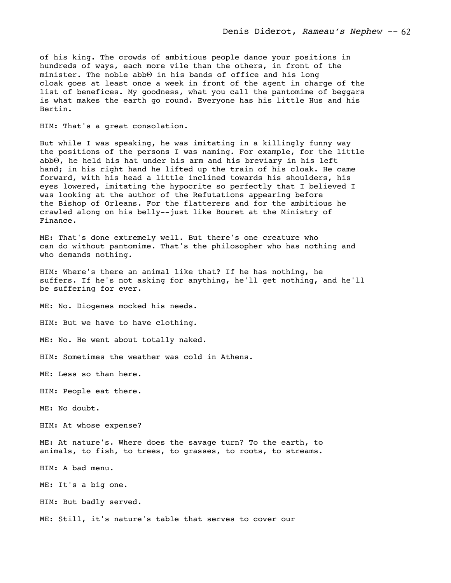of his king. The crowds of ambitious people dance your positions in hundreds of ways, each more vile than the others, in front of the minister. The noble abbΘ in his bands of office and his long cloak goes at least once a week in front of the agent in charge of the list of benefices. My goodness, what you call the pantomime of beggars is what makes the earth go round. Everyone has his little Hus and his Bertin.

HIM: That's a great consolation.

But while I was speaking, he was imitating in a killingly funny way the positions of the persons I was naming. For example, for the little abbΘ, he held his hat under his arm and his breviary in his left hand; in his right hand he lifted up the train of his cloak. He came forward, with his head a little inclined towards his shoulders, his eyes lowered, imitating the hypocrite so perfectly that I believed I was looking at the author of the Refutations appearing before the Bishop of Orleans. For the flatterers and for the ambitious he crawled along on his belly--just like Bouret at the Ministry of Finance.

ME: That's done extremely well. But there's one creature who can do without pantomime. That's the philosopher who has nothing and who demands nothing.

HIM: Where's there an animal like that? If he has nothing, he suffers. If he's not asking for anything, he'll get nothing, and he'll be suffering for ever.

ME: No. Diogenes mocked his needs.

HIM: But we have to have clothing.

ME: No. He went about totally naked.

HIM: Sometimes the weather was cold in Athens.

ME: Less so than here.

HIM: People eat there.

ME: No doubt.

HIM: At whose expense?

ME: At nature's. Where does the savage turn? To the earth, to animals, to fish, to trees, to grasses, to roots, to streams.

HIM: A bad menu.

ME: It's a big one.

HIM: But badly served.

ME: Still, it's nature's table that serves to cover our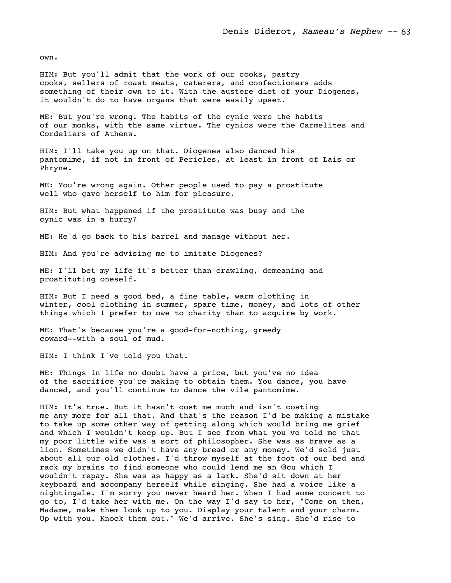own.

HIM: But you'll admit that the work of our cooks, pastry cooks, sellers of roast meats, caterers, and confectioners adds something of their own to it. With the austere diet of your Diogenes, it wouldn't do to have organs that were easily upset.

ME: But you're wrong. The habits of the cynic were the habits of our monks, with the same virtue. The cynics were the Carmelites and Cordeliers of Athens.

HIM: I'll take you up on that. Diogenes also danced his pantomime, if not in front of Pericles, at least in front of Lais or Phryne.

ME: You're wrong again. Other people used to pay a prostitute well who gave herself to him for pleasure.

HIM: But what happened if the prostitute was busy and the cynic was in a hurry?

ME: He'd go back to his barrel and manage without her.

HIM: And you're advising me to imitate Diogenes?

ME: I'll bet my life it's better than crawling, demeaning and prostituting oneself.

HIM: But I need a good bed, a fine table, warm clothing in winter, cool clothing in summer, spare time, money, and lots of other things which I prefer to owe to charity than to acquire by work.

ME: That's because you're a good-for-nothing, greedy coward--with a soul of mud.

HIM: I think I've told you that.

ME: Things in life no doubt have a price, but you've no idea of the sacrifice you're making to obtain them. You dance, you have danced, and you'll continue to dance the vile pantomime.

HIM: It's true. But it hasn't cost me much and isn't costing me any more for all that. And that's the reason I'd be making a mistake to take up some other way of getting along which would bring me grief and which I wouldn't keep up. But I see from what you've told me that my poor little wife was a sort of philosopher. She was as brave as a lion. Sometimes we didn't have any bread or any money. We'd sold just about all our old clothes. I'd throw myself at the foot of our bed and rack my brains to find someone who could lend me an Θcu which I wouldn't repay. She was as happy as a lark. She'd sit down at her keyboard and accompany herself while singing. She had a voice like a nightingale. I'm sorry you never heard her. When I had some concert to go to, I'd take her with me. On the way I'd say to her, "Come on then, Madame, make them look up to you. Display your talent and your charm. Up with you. Knock them out." We'd arrive. She's sing. She'd rise to